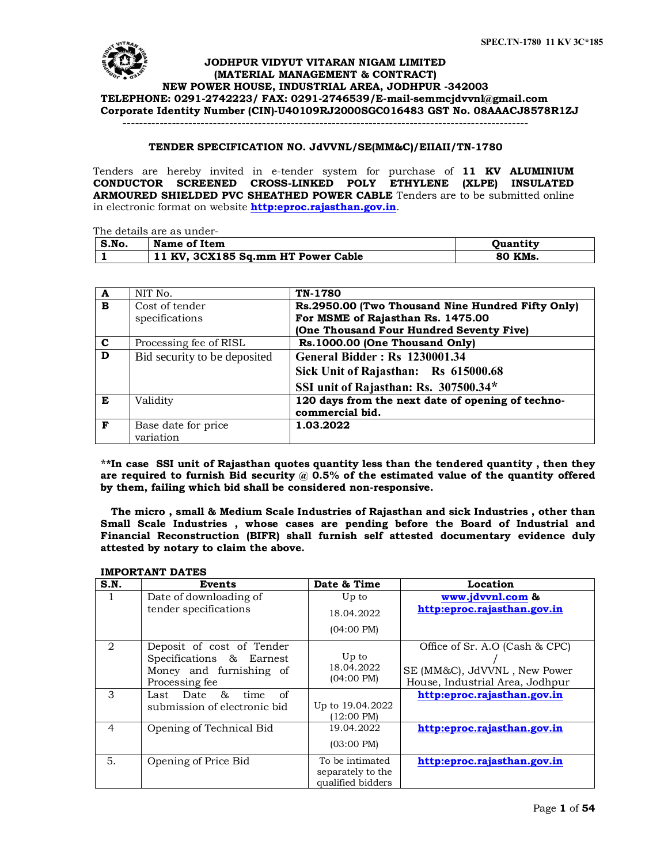

# **JODHPUR VIDYUT VITARAN NIGAM LIMITED (MATERIAL MANAGEMENT & CONTRACT) NEW POWER HOUSE, INDUSTRIAL AREA, JODHPUR -342003 TELEPHONE: 0291-2742223/ FAX: 0291-2746539/E-mail[-semmcjdvvnl@gmail.com](mailto:semmcjdvvnl@gmail.com) Corporate Identity Number (CIN)-U40109RJ2000SGC016483 GST No. 08AAACJ8578R1ZJ**

---------------------------------------------------------------------------------------------------

## **TENDER SPECIFICATION NO. JdVVNL/SE(MM&C)/EIIAII/TN-1780**

Tenders are hereby invited in e-tender system for purchase of **11 KV ALUMINIUM CONDUCTOR SCREENED CROSS-LINKED POLY ETHYLENE (XLPE) INSULATED ARMOURED SHIELDED PVC SHEATHED POWER CABLE** Tenders are to be submitted online in electronic format on website **http:eproc.rajasthan.gov.in**.

The details are as under-

| S.No. | Name of Item                       | <b>Ouantity</b> |
|-------|------------------------------------|-----------------|
|       | 11 KV, 3CX185 Sq.mm HT Power Cable | 80 KMs.         |

| $\mathbf{A}$            | NIT No.                      | TN-1780                                           |
|-------------------------|------------------------------|---------------------------------------------------|
| $\mathbf{B}$            | Cost of tender               | Rs.2950.00 (Two Thousand Nine Hundred Fifty Only) |
|                         | specifications               | For MSME of Rajasthan Rs. 1475.00                 |
|                         |                              | (One Thousand Four Hundred Seventy Five)          |
| $\mathbf c$             | Processing fee of RISL       | Rs.1000.00 (One Thousand Only)                    |
| $\overline{\mathbf{D}}$ | Bid security to be deposited | <b>General Bidder: Rs 1230001.34</b>              |
|                         |                              | Sick Unit of Rajasthan: Rs 615000.68              |
|                         |                              | SSI unit of Rajasthan: Rs. 307500.34*             |
| Е                       | Validity                     | 120 days from the next date of opening of techno- |
|                         |                              | commercial bid.                                   |
| $\mathbf{F}$            | Base date for price          | 1.03.2022                                         |
|                         | variation                    |                                                   |

**\*\*In case SSI unit of Rajasthan quotes quantity less than the tendered quantity , then they**  are required to furnish Bid security @ 0.5% of the estimated value of the quantity offered **by them, failing which bid shall be considered non-responsive.**

 **The micro , small & Medium Scale Industries of Rajasthan and sick Industries , other than Small Scale Industries , whose cases are pending before the Board of Industrial and Financial Reconstruction (BIFR) shall furnish self attested documentary evidence duly attested by notary to claim the above.**

| S.N.                          | Events                                              | Date & Time          | Location                        |
|-------------------------------|-----------------------------------------------------|----------------------|---------------------------------|
|                               | Date of downloading of                              | Up to                | www.jdvvnl.com &                |
|                               | tender specifications                               | 18.04.2022           | http:eproc.rajasthan.gov.in     |
|                               |                                                     | $(04:00 \text{ PM})$ |                                 |
| $\mathfrak{D}_{\mathfrak{p}}$ | Deposit of cost of Tender                           | Up to                | Office of Sr. A.O (Cash & CPC)  |
|                               | Specifications & Earnest<br>Money and furnishing of | 18.04.2022           | SE (MM&C), JdVVNL, New Power    |
|                               |                                                     | $(04:00 \text{ PM})$ |                                 |
|                               | Processing fee                                      |                      | House, Industrial Area, Jodhpur |
| 3                             | &<br>of<br>time<br>Last Date                        |                      | http:eproc.rajasthan.gov.in     |
|                               | submission of electronic bid                        | Up to 19.04.2022     |                                 |
|                               |                                                     | $(12:00 \text{ PM})$ |                                 |
| 4                             | Opening of Technical Bid                            | 19.04.2022           | http:eproc.rajasthan.gov.in     |
|                               |                                                     | $(03:00 \text{ PM})$ |                                 |
| 5.                            | Opening of Price Bid                                | To be intimated      | http:eproc.rajasthan.gov.in     |
|                               |                                                     | separately to the    |                                 |
|                               |                                                     | qualified bidders    |                                 |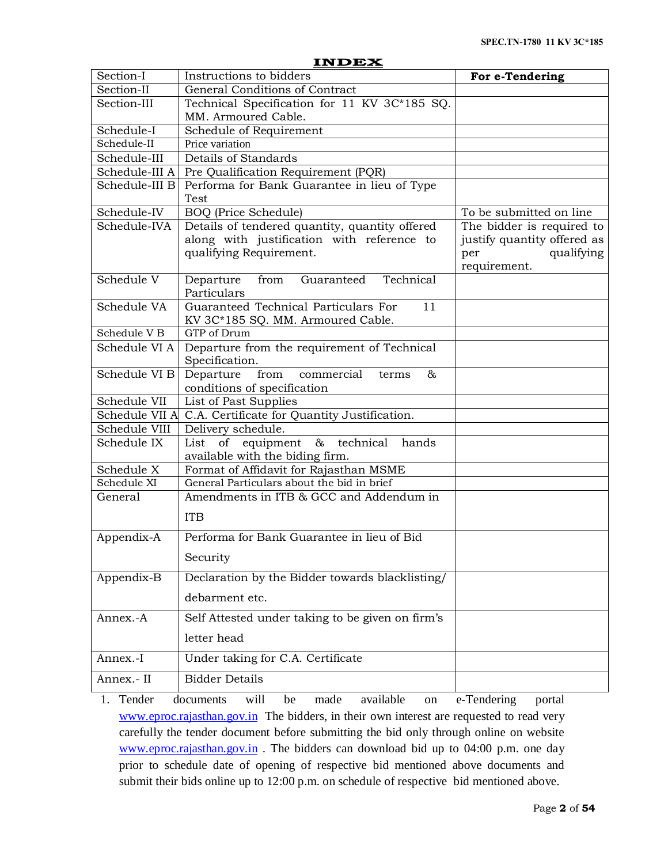|                         | <b>INDEX</b>                                                                    |                                                                  |  |  |
|-------------------------|---------------------------------------------------------------------------------|------------------------------------------------------------------|--|--|
| Section-I               | Instructions to bidders                                                         | For e-Tendering                                                  |  |  |
| Section-II              | <b>General Conditions of Contract</b>                                           |                                                                  |  |  |
| Section-III             | Technical Specification for 11 KV 3C*185 SQ.                                    |                                                                  |  |  |
|                         | MM. Armoured Cable.                                                             |                                                                  |  |  |
| Schedule-I              | Schedule of Requirement                                                         |                                                                  |  |  |
| Schedule-II             | Price variation                                                                 |                                                                  |  |  |
| Schedule-III            | Details of Standards                                                            |                                                                  |  |  |
|                         | Schedule-III A   Pre Qualification Requirement (PQR)                            |                                                                  |  |  |
| Schedule-III B          | Performa for Bank Guarantee in lieu of Type                                     |                                                                  |  |  |
| Schedule-IV             | Test<br><b>BOQ</b> (Price Schedule)                                             | To be submitted on line                                          |  |  |
| Schedule-IVA            | Details of tendered quantity, quantity offered                                  | The bidder is required to                                        |  |  |
|                         | along with justification with reference to<br>qualifying Requirement.           | justify quantity offered as<br>qualifying<br>per<br>requirement. |  |  |
| Schedule V              | Technical<br>from<br>Guaranteed<br>Departure<br>Particulars                     |                                                                  |  |  |
| Schedule VA             | Guaranteed Technical Particulars For<br>11<br>KV 3C*185 SQ. MM. Armoured Cable. |                                                                  |  |  |
| Schedule V <sub>B</sub> | GTP of Drum                                                                     |                                                                  |  |  |
| Schedule VI A           | Departure from the requirement of Technical<br>Specification.                   |                                                                  |  |  |
| Schedule VI B           | commercial<br>Departure<br>from<br>&<br>terms<br>conditions of specification    |                                                                  |  |  |
| Schedule VII            | List of Past Supplies                                                           |                                                                  |  |  |
|                         | Schedule VII A C.A. Certificate for Quantity Justification.                     |                                                                  |  |  |
| Schedule VIII           | Delivery schedule.                                                              |                                                                  |  |  |
| Schedule IX             | of equipment & technical<br>List<br>hands<br>available with the biding firm.    |                                                                  |  |  |
| Schedule X              | Format of Affidavit for Rajasthan MSME                                          |                                                                  |  |  |
| Schedule XI             | General Particulars about the bid in brief                                      |                                                                  |  |  |
| General                 | Amendments in ITB & GCC and Addendum in                                         |                                                                  |  |  |
|                         | <b>ITB</b>                                                                      |                                                                  |  |  |
| Appendix-A              | Performa for Bank Guarantee in lieu of Bid                                      |                                                                  |  |  |
|                         | Security                                                                        |                                                                  |  |  |
| Appendix-B              | Declaration by the Bidder towards blacklisting/                                 |                                                                  |  |  |
|                         | debarment etc.                                                                  |                                                                  |  |  |
| Annex.-A                | Self Attested under taking to be given on firm's                                |                                                                  |  |  |
|                         | letter head                                                                     |                                                                  |  |  |
| Annex.-I                | Under taking for C.A. Certificate                                               |                                                                  |  |  |
| Annex.- II              | <b>Bidder Details</b>                                                           |                                                                  |  |  |

1. Tender documents will be made available on e-Tendering portal www.eproc.rajasthan.gov.in The bidders, in their own interest are requested to read very carefully the tender document before submitting the bid only through online on website www.eproc.rajasthan.gov.in. The bidders can download bid up to 04:00 p.m. one day [prior to schedule date o](http://www.eproc.rajasthan.gov.in/)f opening of respective bid mentioned above documents and submit their bids online up to 12:00 p.m. on schedule of respective bid mentioned above.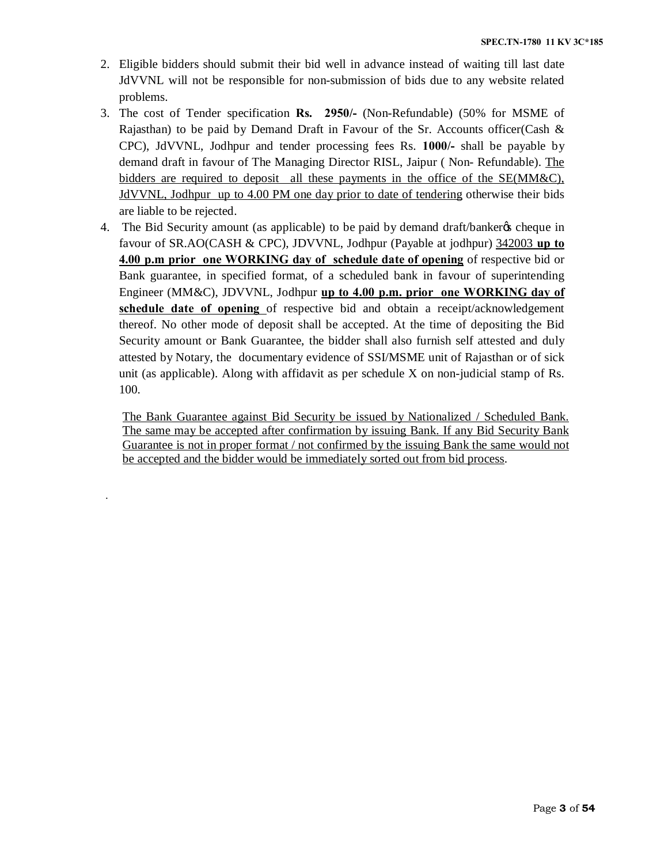- 2. Eligible bidders should submit their bid well in advance instead of waiting till last date JdVVNL will not be responsible for non-submission of bids due to any website related problems.
- 3. The cost of Tender specification **Rs. 2950/-** (Non-Refundable) (50% for MSME of Rajasthan) to be paid by Demand Draft in Favour of the Sr. Accounts officer(Cash  $\&$ CPC), JdVVNL, Jodhpur and tender processing fees Rs. **1000/-** shall be payable by demand draft in favour of The Managing Director RISL, Jaipur ( Non- Refundable). The bidders are required to deposit all these payments in the office of the SE(MM&C), JdVVNL, Jodhpur up to 4.00 PM one day prior to date of tendering otherwise their bids are liable to be rejected.
- 4. The Bid Security amount (as applicable) to be paid by demand draft/bankergs cheque in favour of SR.AO(CASH & CPC), JDVVNL, Jodhpur (Payable at jodhpur) 342003 **up to 4.00 p.m prior one WORKING day of schedule date of opening** of respective bid or Bank guarantee, in specified format, of a scheduled bank in favour of superintending Engineer (MM&C), JDVVNL, Jodhpur **up to 4.00 p.m. prior one WORKING day of schedule date of opening** of respective bid and obtain a receipt/acknowledgement thereof. No other mode of deposit shall be accepted. At the time of depositing the Bid Security amount or Bank Guarantee, the bidder shall also furnish self attested and duly attested by Notary, the documentary evidence of SSI/MSME unit of Rajasthan or of sick unit (as applicable). Along with affidavit as per schedule  $X$  on non-judicial stamp of Rs. 100.

The Bank Guarantee against Bid Security be issued by Nationalized / Scheduled Bank. The same may be accepted after confirmation by issuing Bank. If any Bid Security Bank Guarantee is not in proper format / not confirmed by the issuing Bank the same would not be accepted and the bidder would be immediately sorted out from bid process.

.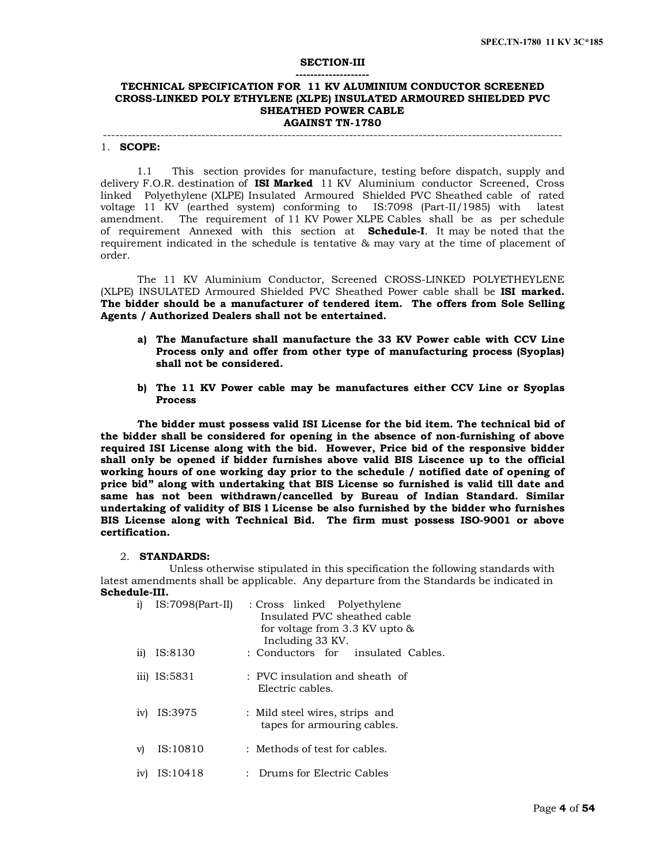#### **SECTION-III**

#### **-------------------- TECHNICAL SPECIFICATION FOR 11 KV ALUMINIUM CONDUCTOR SCREENED CROSS-LINKED POLY ETHYLENE (XLPE) INSULATED ARMOURED SHIELDED PVC SHEATHED POWER CABLE AGAINST TN-1780**

# ----------------------------------------------------------------------------------------------------------------

#### 1. **SCOPE:**

 1.1 This section provides for manufacture, testing before dispatch, supply and delivery F.O.R. destination of **ISI Marked** 11 KV Aluminium conductor Screened, Cross linked Polyethylene (XLPE) Insulated Armoured Shielded PVC Sheathed cable of rated voltage 11 KV (earthed system) conforming to IS:7098 (Part-II/1985) with latest amendment. The requirement of 11 KV Power XLPE Cables shall be as per schedule of requirement Annexed with this section at **Schedule-I**. It may be noted that the requirement indicated in the schedule is tentative & may vary at the time of placement of order.

The 11 KV Aluminium Conductor, Screened CROSS-LINKED POLYETHEYLENE (XLPE) INSULATED Armoured Shielded PVC Sheathed Power cable shall be **ISI marked. The bidder should be a manufacturer of tendered item. The offers from Sole Selling Agents / Authorized Dealers shall not be entertained.**

- **a) The Manufacture shall manufacture the 33 KV Power cable with CCV Line Process only and offer from other type of manufacturing process (Syoplas) shall not be considered.**
- **b) The 11 KV Power cable may be manufactures either CCV Line or Syoplas Process**

**The bidder must possess valid ISI License for the bid item. The technical bid of the bidder shall be considered for opening in the absence of non-furnishing of above required ISI License along with the bid. However, Price bid of the responsive bidder shall only be opened if bidder furnishes above valid BIS Liscence up to the official working hours of one working day prior to the schedule / notified date of opening of price bid" along with undertaking that BIS License so furnished is valid till date and same has not been withdrawn/cancelled by Bureau of Indian Standard. Similar undertaking of validity of BIS l License be also furnished by the bidder who furnishes BIS License along with Technical Bid. The firm must possess ISO-9001 or above certification.**

#### 2. **STANDARDS:**

 Unless otherwise stipulated in this specification the following standards with latest amendments shall be applicable. Any departure from the Standards be indicated in **Schedule-III.**

| i)  | $IS:7098(Part-II)$ | : Cross linked Polyethylene<br>Insulated PVC sheathed cable<br>for voltage from $3.3$ KV upto $\&$<br>Including 33 KV. |
|-----|--------------------|------------------------------------------------------------------------------------------------------------------------|
| 11) | IS:8130            | : Conductors for insulated Cables.                                                                                     |
|     | iii) IS:5831       | $\pm$ PVC insulation and sheath of<br>Electric cables.                                                                 |
| iv) | IS:3975            | : Mild steel wires, strips and<br>tapes for armouring cables.                                                          |
| V)  | IS:10810           | $\pm$ Methods of test for cables.                                                                                      |
| 1V) | IS:10418           | Drums for Electric Cables                                                                                              |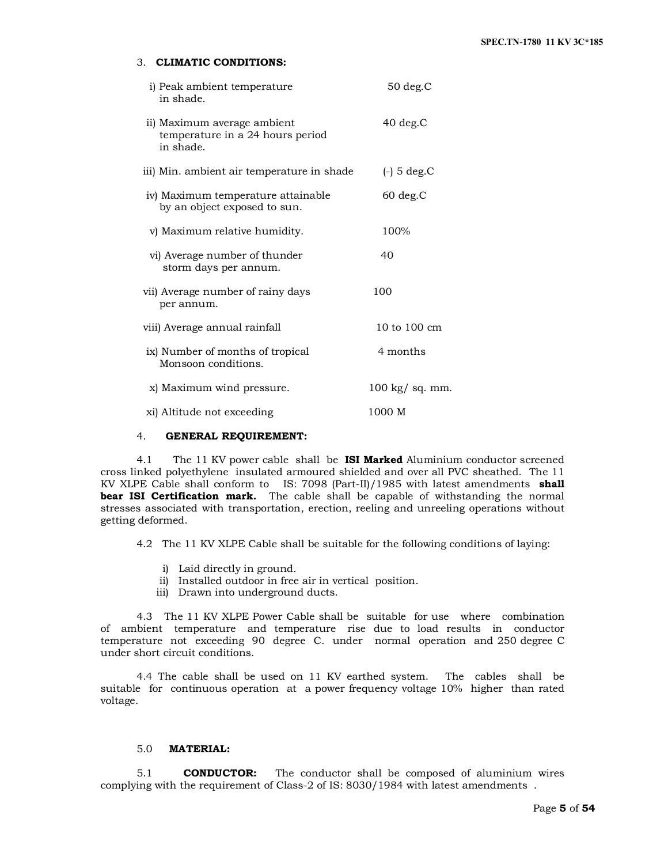# 3. **CLIMATIC CONDITIONS:**

| i) Peak ambient temperature<br>in shade.                                     | $50$ deg. $C$            |
|------------------------------------------------------------------------------|--------------------------|
| ii) Maximum average ambient<br>temperature in a 24 hours period<br>in shade. | $40$ deg. $C$            |
| iii) Min. ambient air temperature in shade                                   | $(-)$ 5 deg.C            |
| iv) Maximum temperature attainable<br>by an object exposed to sun.           | $60$ deg. $C$            |
| v) Maximum relative humidity.                                                | 100%                     |
| vi) Average number of thunder<br>storm days per annum.                       | 40                       |
| vii) Average number of rainy days<br>per annum.                              | 100                      |
| viii) Average annual rainfall                                                | 10 to $100 \text{ cm}$   |
| ix) Number of months of tropical<br>Monsoon conditions.                      | 4 months                 |
| x) Maximum wind pressure.                                                    | $100 \text{ kg}$ sq. mm. |
| xi) Altitude not exceeding                                                   | 1000 M                   |

# 4. **GENERAL REQUIREMENT:**

 4.1 The 11 KV power cable shall be **ISI Marked** Aluminium conductor screened cross linked polyethylene insulated armoured shielded and over all PVC sheathed. The 11 KV XLPE Cable shall conform to IS: 7098 (Part-II)/1985 with latest amendments **shall bear ISI Certification mark.** The cable shall be capable of withstanding the normal stresses associated with transportation, erection, reeling and unreeling operations without getting deformed.

4.2 The 11 KV XLPE Cable shall be suitable for the following conditions of laying:

- i) Laid directly in ground.
- ii) Installed outdoor in free air in vertical position.
- iii) Drawn into underground ducts.

 4.3 The 11 KV XLPE Power Cable shall be suitable for use where combination of ambient temperature and temperature rise due to load results in conductor temperature not exceeding 90 degree C. under normal operation and 250 degree C under short circuit conditions.

 4.4 The cable shall be used on 11 KV earthed system. The cables shall be suitable for continuous operation at a power frequency voltage 10% higher than rated voltage.

#### 5.0 **MATERIAL:**

 5.1 **CONDUCTOR:** The conductor shall be composed of aluminium wires complying with the requirement of Class-2 of IS: 8030/1984 with latest amendments .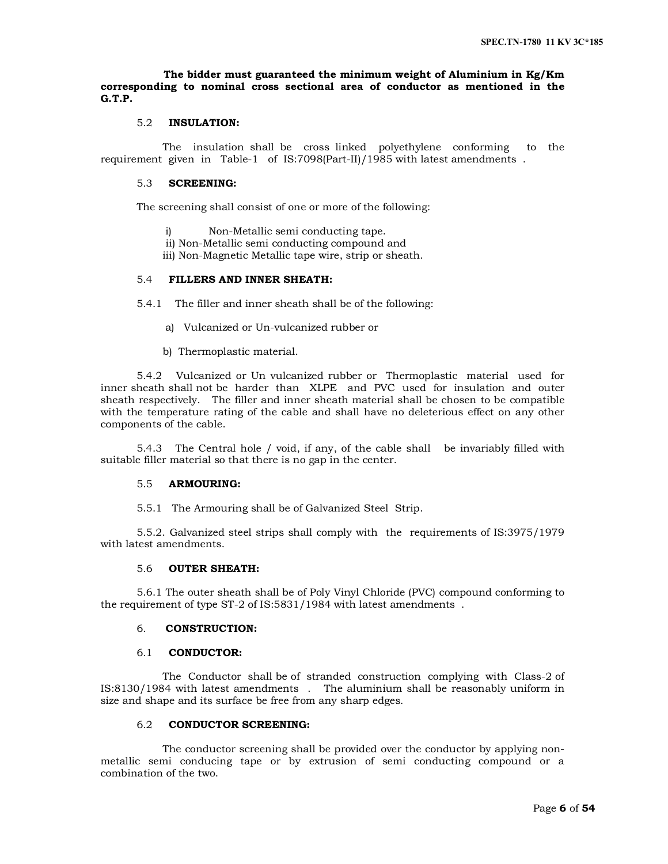## **The bidder must guaranteed the minimum weight of Aluminium in Kg/Km corresponding to nominal cross sectional area of conductor as mentioned in the G.T.P.**

# 5.2 **INSULATION:**

 The insulation shall be cross linked polyethylene conforming to the requirement given in Table-1 of IS:7098(Part-II)/1985 with latest amendments .

#### 5.3 **SCREENING:**

The screening shall consist of one or more of the following:

- i) Non-Metallic semi conducting tape.
- ii) Non-Metallic semi conducting compound and
- iii) Non-Magnetic Metallic tape wire, strip or sheath.

# 5.4 **FILLERS AND INNER SHEATH:**

5.4.1 The filler and inner sheath shall be of the following:

- a) Vulcanized or Un-vulcanized rubber or
- b) Thermoplastic material.

 5.4.2 Vulcanized or Un vulcanized rubber or Thermoplastic material used for inner sheath shall not be harder than XLPE and PVC used for insulation and outer sheath respectively. The filler and inner sheath material shall be chosen to be compatible with the temperature rating of the cable and shall have no deleterious effect on any other components of the cable.

 5.4.3 The Central hole / void, if any, of the cable shall be invariably filled with suitable filler material so that there is no gap in the center.

#### 5.5 **ARMOURING:**

5.5.1 The Armouring shall be of Galvanized Steel Strip.

 5.5.2. Galvanized steel strips shall comply with the requirements of IS:3975/1979 with latest amendments.

# 5.6 **OUTER SHEATH:**

 5.6.1 The outer sheath shall be of Poly Vinyl Chloride (PVC) compound conforming to the requirement of type ST-2 of IS:5831/1984 with latest amendments .

#### 6. **CONSTRUCTION:**

#### 6.1 **CONDUCTOR:**

 The Conductor shall be of stranded construction complying with Class-2 of IS:8130/1984 with latest amendments . The aluminium shall be reasonably uniform in size and shape and its surface be free from any sharp edges.

# 6.2 **CONDUCTOR SCREENING:**

 The conductor screening shall be provided over the conductor by applying nonmetallic semi conducing tape or by extrusion of semi conducting compound or a combination of the two.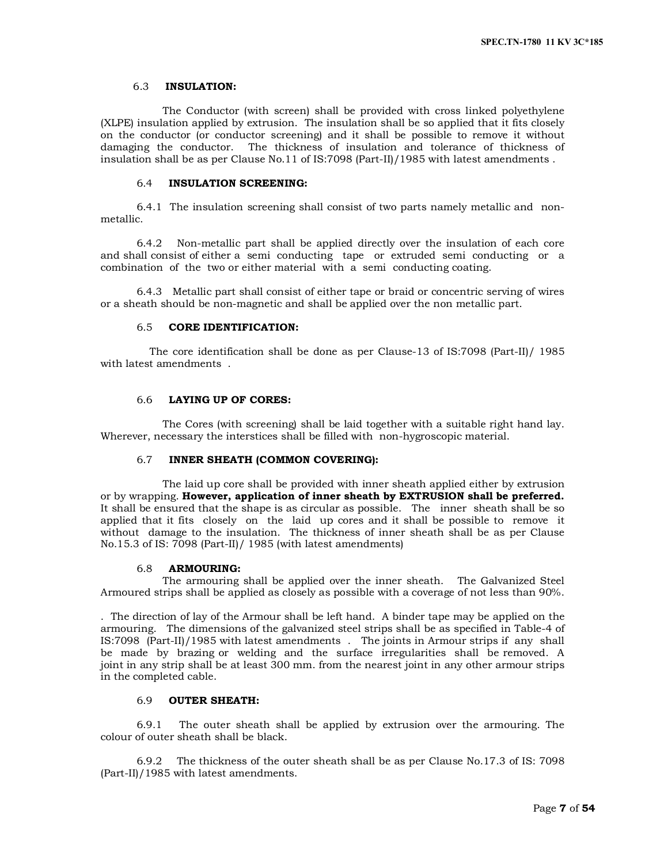#### 6.3 **INSULATION:**

 The Conductor (with screen) shall be provided with cross linked polyethylene (XLPE) insulation applied by extrusion. The insulation shall be so applied that it fits closely on the conductor (or conductor screening) and it shall be possible to remove it without damaging the conductor. The thickness of insulation and tolerance of thickness of insulation shall be as per Clause No.11 of IS:7098 (Part-II)/1985 with latest amendments .

# 6.4 **INSULATION SCREENING:**

 6.4.1 The insulation screening shall consist of two parts namely metallic and nonmetallic.

 6.4.2 Non-metallic part shall be applied directly over the insulation of each core and shall consist of either a semi conducting tape or extruded semi conducting or a combination of the two or either material with a semi conducting coating.

 6.4.3 Metallic part shall consist of either tape or braid or concentric serving of wires or a sheath should be non-magnetic and shall be applied over the non metallic part.

## 6.5 **CORE IDENTIFICATION:**

 The core identification shall be done as per Clause-13 of IS:7098 (Part-II)/ 1985 with latest amendments .

### 6.6 **LAYING UP OF CORES:**

 The Cores (with screening) shall be laid together with a suitable right hand lay. Wherever, necessary the interstices shall be filled with non-hygroscopic material.

# 6.7 **INNER SHEATH (COMMON COVERING):**

 The laid up core shall be provided with inner sheath applied either by extrusion or by wrapping. **However, application of inner sheath by EXTRUSION shall be preferred.** It shall be ensured that the shape is as circular as possible. The inner sheath shall be so applied that it fits closely on the laid up cores and it shall be possible to remove it without damage to the insulation. The thickness of inner sheath shall be as per Clause No.15.3 of IS: 7098 (Part-II)/ 1985 (with latest amendments)

#### 6.8 **ARMOURING:**

 The armouring shall be applied over the inner sheath. The Galvanized Steel Armoured strips shall be applied as closely as possible with a coverage of not less than 90%.

. The direction of lay of the Armour shall be left hand. A binder tape may be applied on the armouring. The dimensions of the galvanized steel strips shall be as specified in Table-4 of IS:7098 (Part-II)/1985 with latest amendments . The joints in Armour strips if any shall be made by brazing or welding and the surface irregularities shall be removed. A joint in any strip shall be at least 300 mm. from the nearest joint in any other armour strips in the completed cable.

# 6.9 **OUTER SHEATH:**

 6.9.1 The outer sheath shall be applied by extrusion over the armouring. The colour of outer sheath shall be black.

 6.9.2 The thickness of the outer sheath shall be as per Clause No.17.3 of IS: 7098 (Part-II)/1985 with latest amendments.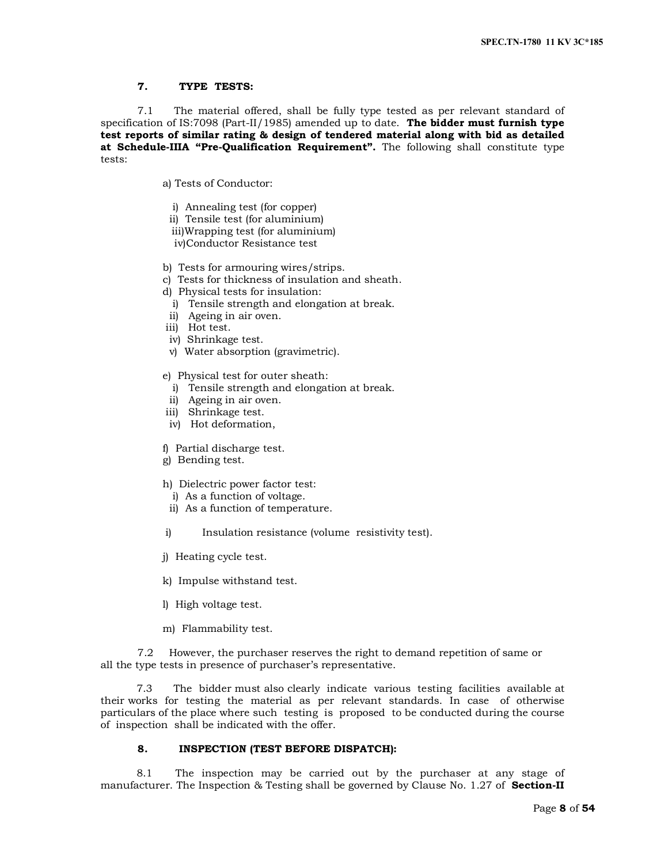### **7. TYPE TESTS:**

7.1 The material offered, shall be fully type tested as per relevant standard of specification of IS:7098 (Part-II/1985) amended up to date. **The bidder must furnish type test reports of similar rating & design of tendered material along with bid as detailed at Schedule-IIIA "Pre-Qualification Requirement".** The following shall constitute type tests:

a) Tests of Conductor:

- i) Annealing test (for copper)
- ii) Tensile test (for aluminium)
- iii)Wrapping test (for aluminium) iv)Conductor Resistance test
- b) Tests for armouring wires/strips.
- c) Tests for thickness of insulation and sheath.
- d) Physical tests for insulation:
	- i) Tensile strength and elongation at break.
- ii) Ageing in air oven.
- iii) Hot test.
- iv) Shrinkage test.
- v) Water absorption (gravimetric).

e) Physical test for outer sheath:

- i) Tensile strength and elongation at break.
- ii) Ageing in air oven.
- iii) Shrinkage test.
- iv) Hot deformation,
- f) Partial discharge test.
- g) Bending test.
- h) Dielectric power factor test:
	- i) As a function of voltage.
- ii) As a function of temperature.
- i) Insulation resistance (volume resistivity test).
- j) Heating cycle test.
- k) Impulse withstand test.
- l) High voltage test.
- m) Flammability test.

7.2 However, the purchaser reserves the right to demand repetition of same or all the type tests in presence of purchaser's representative.

 7.3 The bidder must also clearly indicate various testing facilities available at their works for testing the material as per relevant standards. In case of otherwise particulars of the place where such testing is proposed to be conducted during the course of inspection shall be indicated with the offer.

# **8. INSPECTION (TEST BEFORE DISPATCH):**

 8.1 The inspection may be carried out by the purchaser at any stage of manufacturer. The Inspection & Testing shall be governed by Clause No. 1.27 of **Section-II**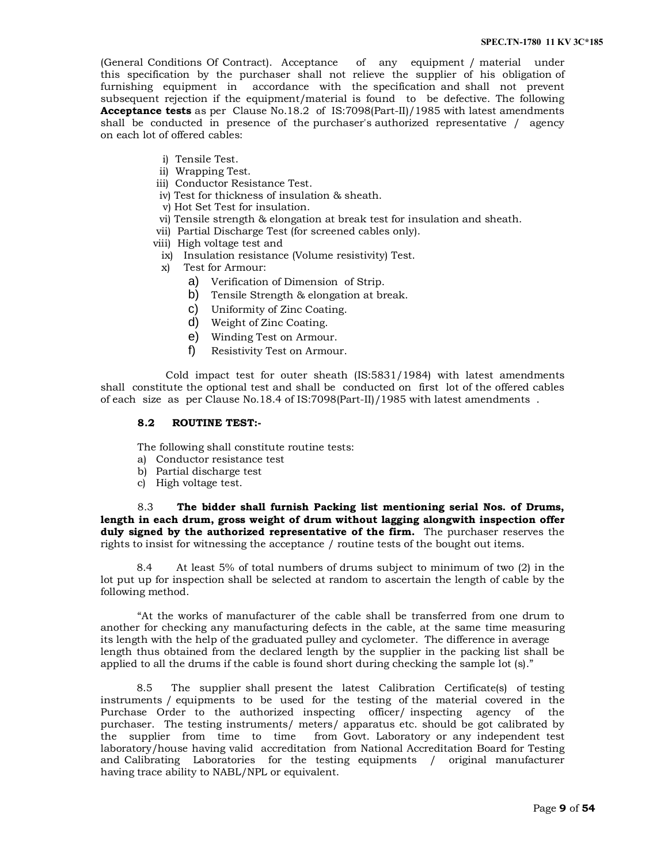(General Conditions Of Contract). Acceptance of any equipment / material under this specification by the purchaser shall not relieve the supplier of his obligation of furnishing equipment in accordance with the specification and shall not prevent subsequent rejection if the equipment/material is found to be defective. The following **Acceptance tests** as per Clause No.18.2 of IS:7098(Part-II)/1985 with latest amendments shall be conducted in presence of the purchaser's authorized representative / agency on each lot of offered cables:

- i) Tensile Test.
- ii) Wrapping Test.
- iii) Conductor Resistance Test.
- iv) Test for thickness of insulation & sheath.
- v) Hot Set Test for insulation.
- vi) Tensile strength & elongation at break test for insulation and sheath.
- vii) Partial Discharge Test (for screened cables only).
- viii) High voltage test and
- ix) Insulation resistance (Volume resistivity) Test.
- x) Test for Armour:
	- a) Verification of Dimension of Strip.
	- b) Tensile Strength & elongation at break.
	- c) Uniformity of Zinc Coating.
	- d) Weight of Zinc Coating.
	- e) Winding Test on Armour.
	- f) Resistivity Test on Armour.

 Cold impact test for outer sheath (IS:5831/1984) with latest amendments shall constitute the optional test and shall be conducted on first lot of the offered cables of each size as per Clause No.18.4 of IS:7098(Part-II)/1985 with latest amendments .

#### **8.2 ROUTINE TEST:-**

The following shall constitute routine tests:

- a) Conductor resistance test
- b) Partial discharge test
- c) High voltage test.

8.3 **The bidder shall furnish Packing list mentioning serial Nos. of Drums, length in each drum, gross weight of drum without lagging alongwith inspection offer duly signed by the authorized representative of the firm.** The purchaser reserves the rights to insist for witnessing the acceptance / routine tests of the bought out items.

 8.4 At least 5% of total numbers of drums subject to minimum of two (2) in the lot put up for inspection shall be selected at random to ascertain the length of cable by the following method.

"At the works of manufacturer of the cable shall be transferred from one drum to another for checking any manufacturing defects in the cable, at the same time measuring its length with the help of the graduated pulley and cyclometer. The difference in average length thus obtained from the declared length by the supplier in the packing list shall be applied to all the drums if the cable is found short during checking the sample lot (s)."

 8.5 The supplier shall present the latest Calibration Certificate(s) of testing instruments / equipments to be used for the testing of the material covered in the Purchase Order to the authorized inspecting officer/ inspecting agency of the purchaser. The testing instruments/ meters/ apparatus etc. should be got calibrated by the supplier from time to time from Govt. Laboratory or any independent test laboratory/house having valid accreditation from National Accreditation Board for Testing and Calibrating Laboratories for the testing equipments / original manufacturer having trace ability to NABL/NPL or equivalent.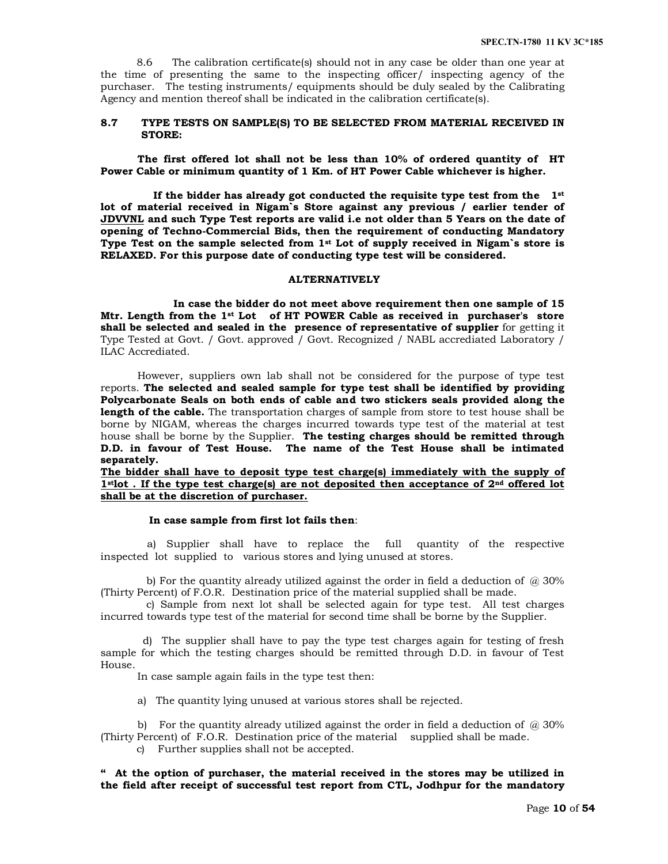8.6 The calibration certificate(s) should not in any case be older than one year at the time of presenting the same to the inspecting officer/ inspecting agency of the purchaser. The testing instruments/ equipments should be duly sealed by the Calibrating Agency and mention thereof shall be indicated in the calibration certificate(s).

#### **8.7 TYPE TESTS ON SAMPLE(S) TO BE SELECTED FROM MATERIAL RECEIVED IN STORE:**

**The first offered lot shall not be less than 10% of ordered quantity of HT Power Cable or minimum quantity of 1 Km. of HT Power Cable whichever is higher.**

 **If the bidder has already got conducted the requisite type test from the 1st lot of material received in Nigam`s Store against any previous / earlier tender of JDVVNL and such Type Test reports are valid i.e not older than 5 Years on the date of opening of Techno-Commercial Bids, then the requirement of conducting Mandatory Type Test on the sample selected from 1st Lot of supply received in Nigam`s store is RELAXED. For this purpose date of conducting type test will be considered.**

#### **ALTERNATIVELY**

 **In case the bidder do not meet above requirement then one sample of 15 Mtr. Length from the 1st Lot of HT POWER Cable as received in purchaser's store shall be selected and sealed in the presence of representative of supplier** for getting it Type Tested at Govt. / Govt. approved / Govt. Recognized / NABL accrediated Laboratory / ILAC Accrediated.

However, suppliers own lab shall not be considered for the purpose of type test reports. **The selected and sealed sample for type test shall be identified by providing Polycarbonate Seals on both ends of cable and two stickers seals provided along the length of the cable.** The transportation charges of sample from store to test house shall be borne by NIGAM, whereas the charges incurred towards type test of the material at test house shall be borne by the Supplier. **The testing charges should be remitted through D.D. in favour of Test House. The name of the Test House shall be intimated separately.**

**The bidder shall have to deposit type test charge(s) immediately with the supply of 1stlot . If the type test charge(s) are not deposited then acceptance of 2nd offered lot shall be at the discretion of purchaser.**

#### **In case sample from first lot fails then**:

 a) Supplier shall have to replace the full quantity of the respective inspected lot supplied to various stores and lying unused at stores.

b) For the quantity already utilized against the order in field a deduction of  $\omega$  30% (Thirty Percent) of F.O.R. Destination price of the material supplied shall be made.

 c) Sample from next lot shall be selected again for type test. All test charges incurred towards type test of the material for second time shall be borne by the Supplier.

 d) The supplier shall have to pay the type test charges again for testing of fresh sample for which the testing charges should be remitted through D.D. in favour of Test House.

In case sample again fails in the type test then:

a) The quantity lying unused at various stores shall be rejected.

b) For the quantity already utilized against the order in field a deduction of  $\omega$  30% (Thirty Percent) of F.O.R. Destination price of the material supplied shall be made.

c) Further supplies shall not be accepted.

**" At the option of purchaser, the material received in the stores may be utilized in the field after receipt of successful test report from CTL, Jodhpur for the mandatory**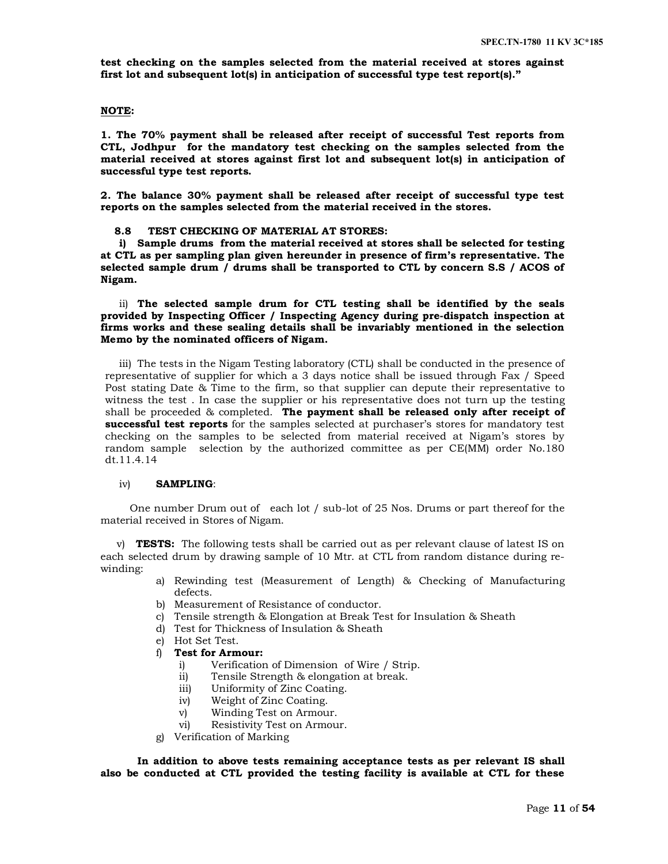**test checking on the samples selected from the material received at stores against first lot and subsequent lot(s) in anticipation of successful type test report(s)."**

# **NOTE:**

**1. The 70% payment shall be released after receipt of successful Test reports from CTL, Jodhpur for the mandatory test checking on the samples selected from the material received at stores against first lot and subsequent lot(s) in anticipation of successful type test reports.**

**2. The balance 30% payment shall be released after receipt of successful type test reports on the samples selected from the material received in the stores.**

#### **8.8 TEST CHECKING OF MATERIAL AT STORES:**

**i) Sample drums from the material received at stores shall be selected for testing at CTL as per sampling plan given hereunder in presence of firm's representative. The selected sample drum / drums shall be transported to CTL by concern S.S / ACOS of Nigam.**

ii) **The selected sample drum for CTL testing shall be identified by the seals provided by Inspecting Officer / Inspecting Agency during pre-dispatch inspection at firms works and these sealing details shall be invariably mentioned in the selection Memo by the nominated officers of Nigam.**

iii) The tests in the Nigam Testing laboratory (CTL) shall be conducted in the presence of representative of supplier for which a 3 days notice shall be issued through Fax / Speed Post stating Date & Time to the firm, so that supplier can depute their representative to witness the test . In case the supplier or his representative does not turn up the testing shall be proceeded & completed. **The payment shall be released only after receipt of successful test reports** for the samples selected at purchaser's stores for mandatory test checking on the samples to be selected from material received at Nigam's stores by random sample selection by the authorized committee as per CE(MM) order No.180 dt.11.4.14

#### iv) **SAMPLING**:

 One number Drum out of each lot / sub-lot of 25 Nos. Drums or part thereof for the material received in Stores of Nigam.

 v) **TESTS:** The following tests shall be carried out as per relevant clause of latest IS on each selected drum by drawing sample of 10 Mtr. at CTL from random distance during rewinding:

- a) Rewinding test (Measurement of Length) & Checking of Manufacturing defects.
- b) Measurement of Resistance of conductor.
- c) Tensile strength & Elongation at Break Test for Insulation & Sheath
- d) Test for Thickness of Insulation & Sheath
- e) Hot Set Test.
- f) **Test for Armour:**
	- i) Verification of Dimension of Wire / Strip.
	- ii) Tensile Strength & elongation at break.
	- iii) Uniformity of Zinc Coating.
	- iv) Weight of Zinc Coating.
	- v) Winding Test on Armour.
	- vi) Resistivity Test on Armour.
- g) Verification of Marking

**In addition to above tests remaining acceptance tests as per relevant IS shall also be conducted at CTL provided the testing facility is available at CTL for these**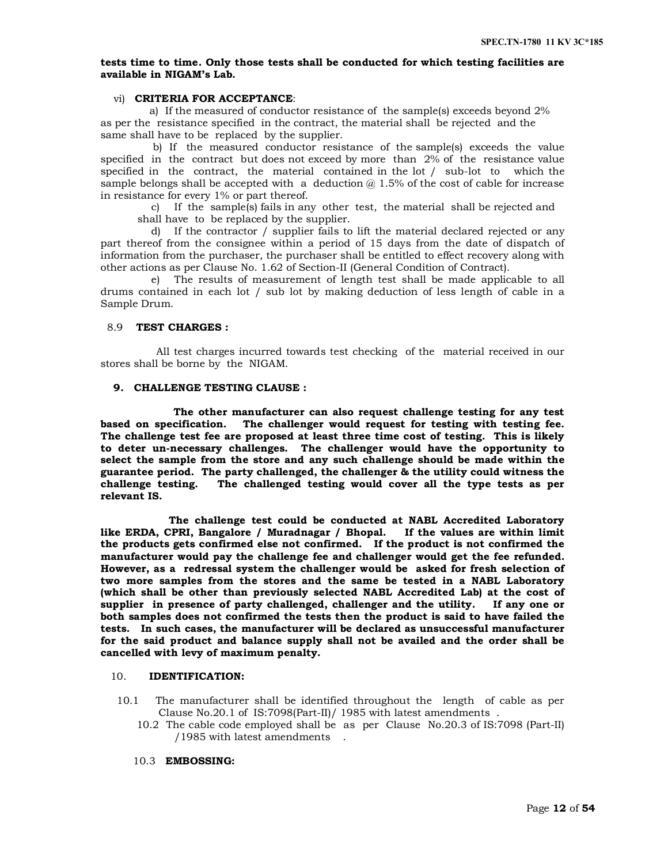### **tests time to time. Only those tests shall be conducted for which testing facilities are available in NIGAM's Lab.**

# vi) **CRITERIA FOR ACCEPTANCE**:

 a) If the measured of conductor resistance of the sample(s) exceeds beyond 2% as per the resistance specified in the contract, the material shall be rejected and the same shall have to be replaced by the supplier.

 b) If the measured conductor resistance of the sample(s) exceeds the value specified in the contract but does not exceed by more than 2% of the resistance value specified in the contract, the material contained in the lot / sub-lot to which the sample belongs shall be accepted with a deduction  $@1.5\%$  of the cost of cable for increase in resistance for every 1% or part thereof.

c) If the sample(s) fails in any other test, the material shall be rejected and shall have to be replaced by the supplier.

d) If the contractor / supplier fails to lift the material declared rejected or any part thereof from the consignee within a period of 15 days from the date of dispatch of information from the purchaser, the purchaser shall be entitled to effect recovery along with other actions as per Clause No. 1.62 of Section-II (General Condition of Contract).

e) The results of measurement of length test shall be made applicable to all drums contained in each lot / sub lot by making deduction of less length of cable in a Sample Drum.

# 8.9 **TEST CHARGES :**

 All test charges incurred towards test checking of the material received in our stores shall be borne by the NIGAM.

## **9. CHALLENGE TESTING CLAUSE :**

 **The other manufacturer can also request challenge testing for any test based on specification. The challenger would request for testing with testing fee. The challenge test fee are proposed at least three time cost of testing. This is likely to deter un-necessary challenges. The challenger would have the opportunity to select the sample from the store and any such challenge should be made within the guarantee period. The party challenged, the challenger & the utility could witness the challenge testing. The challenged testing would cover all the type tests as per relevant IS.** 

 **The challenge test could be conducted at NABL Accredited Laboratory like ERDA, CPRI, Bangalore / Muradnagar / Bhopal. If the values are within limit the products gets confirmed else not confirmed. If the product is not confirmed the manufacturer would pay the challenge fee and challenger would get the fee refunded. However, as a redressal system the challenger would be asked for fresh selection of two more samples from the stores and the same be tested in a NABL Laboratory (which shall be other than previously selected NABL Accredited Lab) at the cost of supplier in presence of party challenged, challenger and the utility. If any one or both samples does not confirmed the tests then the product is said to have failed the tests. In such cases, the manufacturer will be declared as unsuccessful manufacturer for the said product and balance supply shall not be availed and the order shall be cancelled with levy of maximum penalty.** 

#### 10. **IDENTIFICATION:**

- 10.1 The manufacturer shall be identified throughout the length of cable as per Clause No.20.1 of IS:7098(Part-II)/ 1985 with latest amendments .
	- 10.2 The cable code employed shall be as per Clause No.20.3 of IS:7098 (Part-II) /1985 with latest amendments .

#### 10.3 **EMBOSSING:**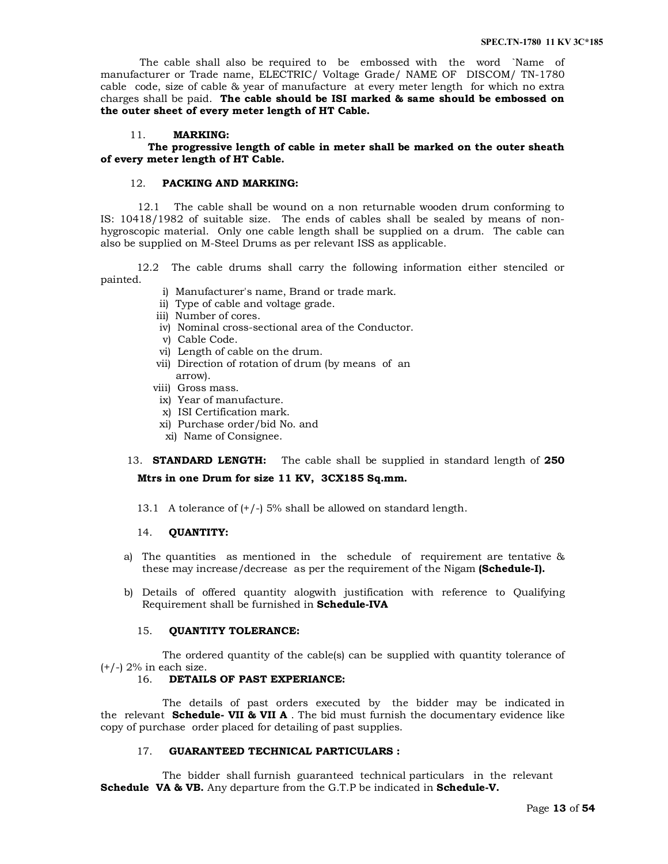The cable shall also be required to be embossed with the word `Name of manufacturer or Trade name, ELECTRIC/ Voltage Grade/ NAME OF DISCOM/ TN-1780 cable code, size of cable & year of manufacture at every meter length for which no extra charges shall be paid. **The cable should be ISI marked & same should be embossed on the outer sheet of every meter length of HT Cable.**

#### 11. **MARKING:**

 **The progressive length of cable in meter shall be marked on the outer sheath of every meter length of HT Cable.**

# 12. **PACKING AND MARKING:**

12.1 The cable shall be wound on a non returnable wooden drum conforming to IS: 10418/1982 of suitable size. The ends of cables shall be sealed by means of nonhygroscopic material. Only one cable length shall be supplied on a drum. The cable can also be supplied on M-Steel Drums as per relevant ISS as applicable.

 12.2 The cable drums shall carry the following information either stenciled or painted.

- i) Manufacturer's name, Brand or trade mark.
- ii) Type of cable and voltage grade.
- iii) Number of cores.
- iv) Nominal cross-sectional area of the Conductor.
- v) Cable Code.
- vi) Length of cable on the drum.
- vii) Direction of rotation of drum (by means of an arrow).
- viii) Gross mass.
- ix) Year of manufacture.
- x) ISI Certification mark.
- xi) Purchase order/bid No. and
- xi) Name of Consignee.
- 13. **STANDARD LENGTH:** The cable shall be supplied in standard length of **250 Mtrs in one Drum for size 11 KV, 3CX185 Sq.mm.**
	- 13.1 A tolerance of (+/-) 5% shall be allowed on standard length.

#### 14. **QUANTITY:**

- a) The quantities as mentioned in the schedule of requirement are tentative & these may increase/decrease as per the requirement of the Nigam **(Schedule-I).**
- b) Details of offered quantity alogwith justification with reference to Qualifying Requirement shall be furnished in **Schedule-IVA**

#### 15. **QUANTITY TOLERANCE:**

 The ordered quantity of the cable(s) can be supplied with quantity tolerance of  $(+/-)$  2% in each size.

# 16. **DETAILS OF PAST EXPERIANCE:**

 The details of past orders executed by the bidder may be indicated in the relevant **Schedule- VII & VII A** . The bid must furnish the documentary evidence like copy of purchase order placed for detailing of past supplies.

### 17. **GUARANTEED TECHNICAL PARTICULARS :**

 The bidder shall furnish guaranteed technical particulars in the relevant **Schedule VA & VB.** Any departure from the G.T.P be indicated in **Schedule-V.**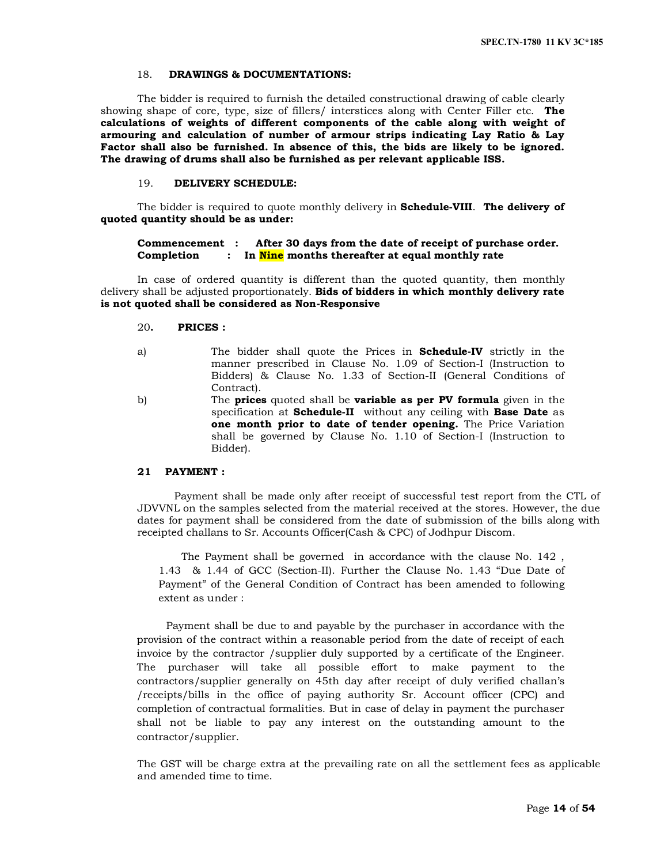#### 18. **DRAWINGS & DOCUMENTATIONS:**

The bidder is required to furnish the detailed constructional drawing of cable clearly showing shape of core, type, size of fillers/ interstices along with Center Filler etc. **The calculations of weights of different components of the cable along with weight of armouring and calculation of number of armour strips indicating Lay Ratio & Lay Factor shall also be furnished. In absence of this, the bids are likely to be ignored. The drawing of drums shall also be furnished as per relevant applicable ISS.**

# 19. **DELIVERY SCHEDULE:**

The bidder is required to quote monthly delivery in **Schedule-VIII**. **The delivery of quoted quantity should be as under:**

#### **Commencement : After 30 days from the date of receipt of purchase order. Completion : In Nine months thereafter at equal monthly rate**

In case of ordered quantity is different than the quoted quantity, then monthly delivery shall be adjusted proportionately. **Bids of bidders in which monthly delivery rate is not quoted shall be considered as Non-Responsive**

#### 20**. PRICES :**

- a) The bidder shall quote the Prices in **Schedule-IV** strictly in the manner prescribed in Clause No. 1.09 of Section-I (Instruction to Bidders) & Clause No. 1.33 of Section-II (General Conditions of Contract).
- b) The **prices** quoted shall be **variable as per PV formula** given in the specification at **Schedule-II** without any ceiling with **Base Date** as **one month prior to date of tender opening.** The Price Variation shall be governed by Clause No. 1.10 of Section-I (Instruction to Bidder).

# **21 PAYMENT :**

 Payment shall be made only after receipt of successful test report from the CTL of JDVVNL on the samples selected from the material received at the stores. However, the due dates for payment shall be considered from the date of submission of the bills along with receipted challans to Sr. Accounts Officer(Cash & CPC) of Jodhpur Discom.

 The Payment shall be governed in accordance with the clause No. 142 , 1.43 & 1.44 of GCC (Section-II). Further the Clause No. 1.43 "Due Date of Payment" of the General Condition of Contract has been amended to following extent as under :

 Payment shall be due to and payable by the purchaser in accordance with the provision of the contract within a reasonable period from the date of receipt of each invoice by the contractor /supplier duly supported by a certificate of the Engineer. The purchaser will take all possible effort to make payment to the contractors/supplier generally on 45th day after receipt of duly verified challan's /receipts/bills in the office of paying authority Sr. Account officer (CPC) and completion of contractual formalities. But in case of delay in payment the purchaser shall not be liable to pay any interest on the outstanding amount to the contractor/supplier.

The GST will be charge extra at the prevailing rate on all the settlement fees as applicable and amended time to time.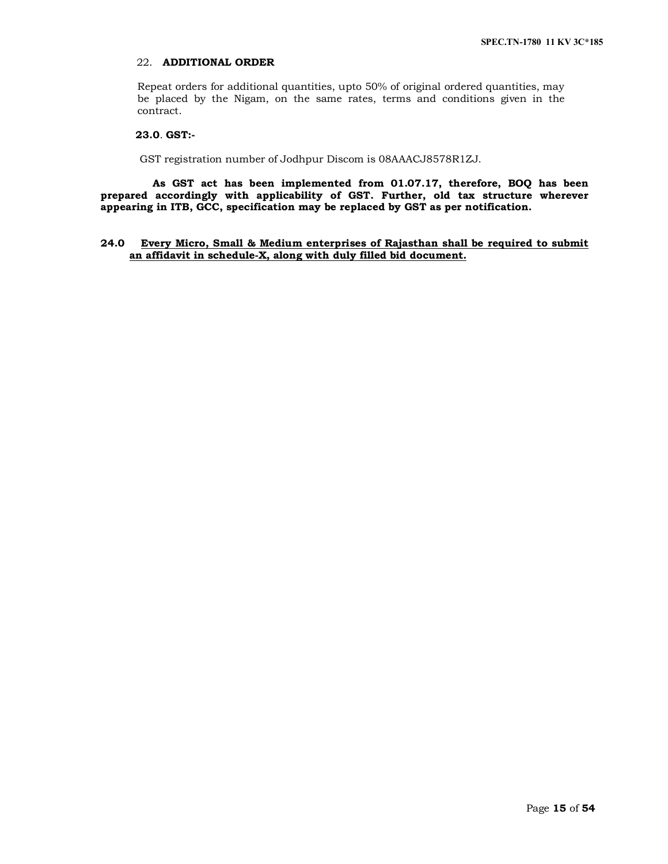# 22. **ADDITIONAL ORDER**

Repeat orders for additional quantities, upto 50% of original ordered quantities, may be placed by the Nigam, on the same rates, terms and conditions given in the contract.

# **23.0**. **GST:-**

GST registration number of Jodhpur Discom is 08AAACJ8578R1ZJ.

 **As GST act has been implemented from 01.07.17, therefore, BOQ has been prepared accordingly with applicability of GST. Further, old tax structure wherever appearing in ITB, GCC, specification may be replaced by GST as per notification.**

## **24.0 Every Micro, Small & Medium enterprises of Rajasthan shall be required to submit an affidavit in schedule-X, along with duly filled bid document.**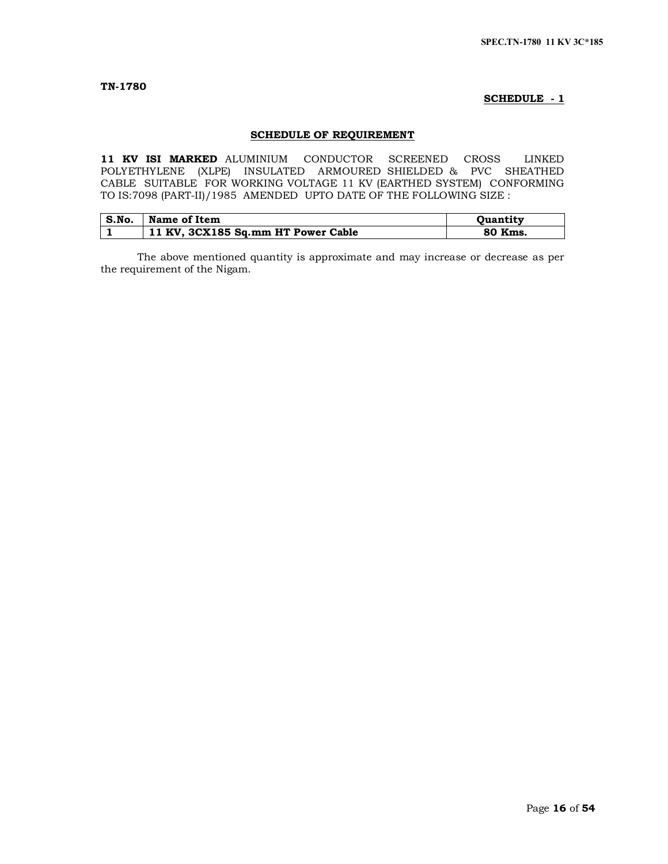# **SCHEDULE - 1**

# **SCHEDULE OF REQUIREMENT**

**11 KV ISI MARKED** ALUMINIUM CONDUCTOR SCREENED CROSS LINKED POLYETHYLENE (XLPE) INSULATED ARMOURED SHIELDED & PVC SHEATHED CABLE SUITABLE FOR WORKING VOLTAGE 11 KV (EARTHED SYSTEM) CONFORMING TO IS:7098 (PART-II)/1985 AMENDED UPTO DATE OF THE FOLLOWING SIZE :

| S.No. | Name of Item                       | <b>Ouantity</b> |
|-------|------------------------------------|-----------------|
|       | 11 KV, 3CX185 Sq.mm HT Power Cable | 80 Kms.         |

The above mentioned quantity is approximate and may increase or decrease as per the requirement of the Nigam.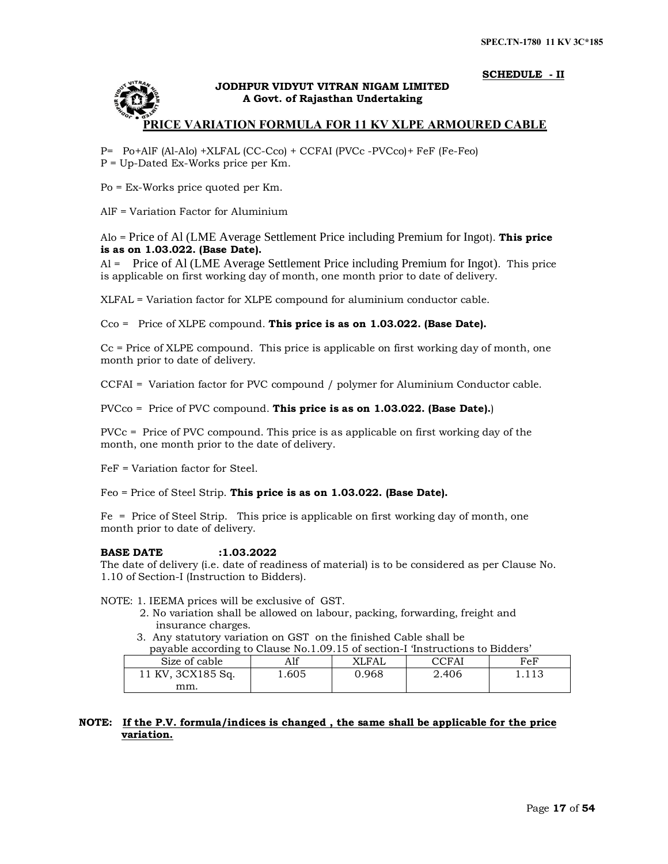# **SCHEDULE - II**



# **JODHPUR VIDYUT VITRAN NIGAM LIMITED A Govt. of Rajasthan Undertaking**

# **PRICE VARIATION FORMULA FOR 11 KV XLPE ARMOURED CABLE**

P= Po+AlF (Al-Alo) +XLFAL (CC-Cco) + CCFAI (PVCc -PVCco)+ FeF (Fe-Feo) P = Up-Dated Ex-Works price per Km.

Po = Ex-Works price quoted per Km.

AlF = Variation Factor for Aluminium

# Alo = Price of Al (LME Average Settlement Price including Premium for Ingot). **This price is as on 1.03.022. (Base Date).**

Al = Price of Al (LME Average Settlement Price including Premium for Ingot). This price is applicable on first working day of month, one month prior to date of delivery.

XLFAL = Variation factor for XLPE compound for aluminium conductor cable.

Cco = Price of XLPE compound. **This price is as on 1.03.022. (Base Date).**

Cc = Price of XLPE compound. This price is applicable on first working day of month, one month prior to date of delivery.

CCFAI = Variation factor for PVC compound / polymer for Aluminium Conductor cable.

# PVCco = Price of PVC compound. **This price is as on 1.03.022. (Base Date).**)

PVCc = Price of PVC compound. This price is as applicable on first working day of the month, one month prior to the date of delivery.

FeF = Variation factor for Steel.

Feo = Price of Steel Strip. **This price is as on 1.03.022. (Base Date).**

Fe = Price of Steel Strip. This price is applicable on first working day of month, one month prior to date of delivery.

#### **BASE DATE :1.03.2022**

The date of delivery (i.e. date of readiness of material) is to be considered as per Clause No. 1.10 of Section-I (Instruction to Bidders).

NOTE: 1. IEEMA prices will be exclusive of GST.

- 2. No variation shall be allowed on labour, packing, forwarding, freight and insurance charges.
- 3. Any statutory variation on GST on the finished Cable shall be

payable according to Clause No.1.09.15 of section-I 'Instructions to Bidders'

| Size of cable     | Alf      | XLFAL | CCFAl | $_{\rm FeF}$ |
|-------------------|----------|-------|-------|--------------|
| 11 KV, 3CX185 Sq. | ـ 605. ـ | 0.968 | 2.406 | 1.113        |
| mm.               |          |       |       |              |

# **NOTE: If the P.V. formula/indices is changed , the same shall be applicable for the price variation.**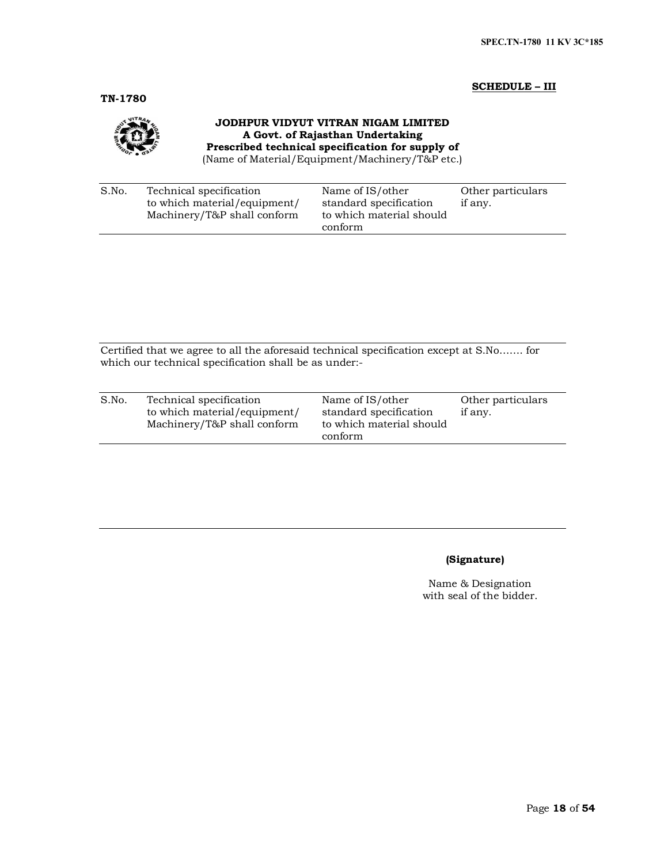## **SCHEDULE – III**

**TN-1780**



# **JODHPUR VIDYUT VITRAN NIGAM LIMITED A Govt. of Rajasthan Undertaking Prescribed technical specification for supply of**

(Name of Material/Equipment/Machinery/T&P etc.)

| S.No. | Technical specification<br>to which material/equipment/<br>Machinery/T&P shall conform | Name of IS/other<br>standard specification<br>to which material should | Other particulars<br>if any. |
|-------|----------------------------------------------------------------------------------------|------------------------------------------------------------------------|------------------------------|
|       |                                                                                        | conform                                                                |                              |

Certified that we agree to all the aforesaid technical specification except at S.No……. for which our technical specification shall be as under:-

| S.No. | Technical specification<br>to which material/equipment/<br>Machinery/T&P shall conform | Name of IS/other<br>standard specification<br>to which material should<br>conform | Other particulars<br>if any. |
|-------|----------------------------------------------------------------------------------------|-----------------------------------------------------------------------------------|------------------------------|
|       |                                                                                        |                                                                                   |                              |

# **(Signature)**

Name & Designation with seal of the bidder.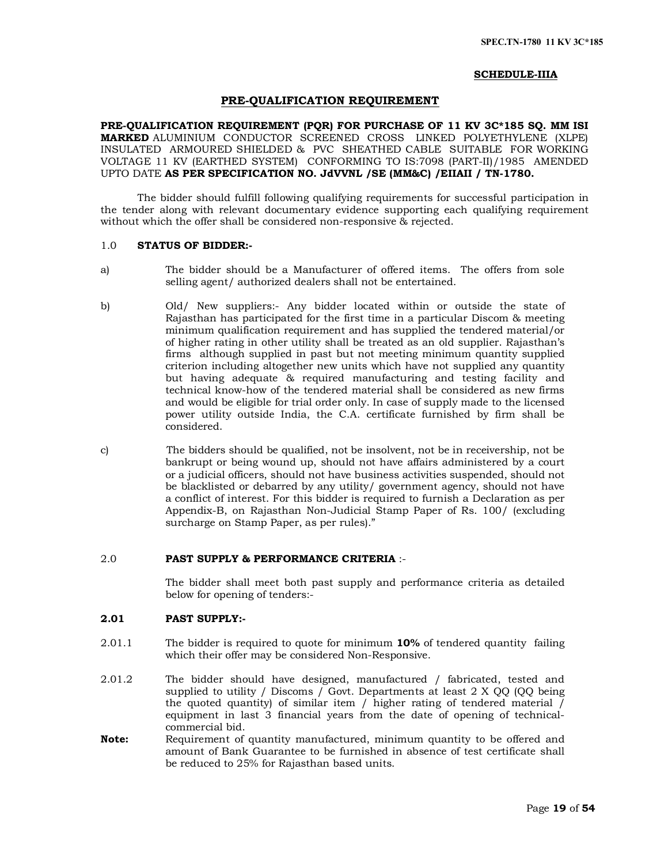#### **SCHEDULE-IIIA**

#### **PRE-QUALIFICATION REQUIREMENT**

**PRE-QUALIFICATION REQUIREMENT (PQR) FOR PURCHASE OF 11 KV 3C\*185 SQ. MM ISI MARKED** ALUMINIUM CONDUCTOR SCREENED CROSS LINKED POLYETHYLENE (XLPE) INSULATED ARMOURED SHIELDED & PVC SHEATHED CABLE SUITABLE FOR WORKING VOLTAGE 11 KV (EARTHED SYSTEM) CONFORMING TO IS:7098 (PART-II)/1985 AMENDED UPTO DATE **AS PER SPECIFICATION NO. JdVVNL /SE (MM&C) /EIIAII / TN-1780.**

The bidder should fulfill following qualifying requirements for successful participation in the tender along with relevant documentary evidence supporting each qualifying requirement without which the offer shall be considered non-responsive  $\&$  rejected.

# 1.0 **STATUS OF BIDDER:-**

- a) The bidder should be a Manufacturer of offered items. The offers from sole selling agent/ authorized dealers shall not be entertained.
- b) Old/ New suppliers:- Any bidder located within or outside the state of Rajasthan has participated for the first time in a particular Discom & meeting minimum qualification requirement and has supplied the tendered material/or of higher rating in other utility shall be treated as an old supplier. Rajasthan's firms although supplied in past but not meeting minimum quantity supplied criterion including altogether new units which have not supplied any quantity but having adequate & required manufacturing and testing facility and technical know-how of the tendered material shall be considered as new firms and would be eligible for trial order only. In case of supply made to the licensed power utility outside India, the C.A. certificate furnished by firm shall be considered.
- c) The bidders should be qualified, not be insolvent, not be in receivership, not be bankrupt or being wound up, should not have affairs administered by a court or a judicial officers, should not have business activities suspended, should not be blacklisted or debarred by any utility/ government agency, should not have a conflict of interest. For this bidder is required to furnish a Declaration as per Appendix-B, on Rajasthan Non-Judicial Stamp Paper of Rs. 100/ (excluding surcharge on Stamp Paper, as per rules)."

#### 2.0 **PAST SUPPLY & PERFORMANCE CRITERIA** :-

The bidder shall meet both past supply and performance criteria as detailed below for opening of tenders:-

## **2.01 PAST SUPPLY:-**

- 2.01.1 The bidder is required to quote for minimum **10%** of tendered quantity failing which their offer may be considered Non-Responsive.
- 2.01.2 The bidder should have designed, manufactured / fabricated, tested and supplied to utility / Discoms / Govt. Departments at least 2 X QQ (QQ being the quoted quantity) of similar item / higher rating of tendered material / equipment in last 3 financial years from the date of opening of technicalcommercial bid.
- **Note:** Requirement of quantity manufactured, minimum quantity to be offered and amount of Bank Guarantee to be furnished in absence of test certificate shall be reduced to 25% for Rajasthan based units.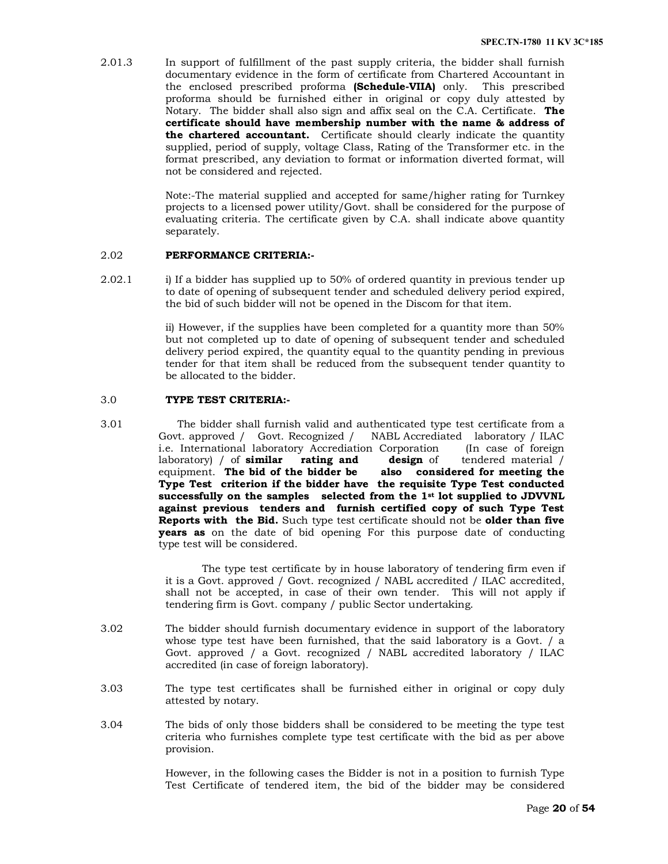2.01.3 In support of fulfillment of the past supply criteria, the bidder shall furnish documentary evidence in the form of certificate from Chartered Accountant in the enclosed prescribed proforma **(Schedule-VIIA)** only. This prescribed proforma should be furnished either in original or copy duly attested by Notary. The bidder shall also sign and affix seal on the C.A. Certificate. **The certificate should have membership number with the name & address of the chartered accountant.** Certificate should clearly indicate the quantity supplied, period of supply, voltage Class, Rating of the Transformer etc. in the format prescribed, any deviation to format or information diverted format, will not be considered and rejected.

> Note:-The material supplied and accepted for same/higher rating for Turnkey projects to a licensed power utility/Govt. shall be considered for the purpose of evaluating criteria. The certificate given by C.A. shall indicate above quantity separately.

## 2.02 **PERFORMANCE CRITERIA:-**

2.02.1 i) If a bidder has supplied up to 50% of ordered quantity in previous tender up to date of opening of subsequent tender and scheduled delivery period expired, the bid of such bidder will not be opened in the Discom for that item.

> ii) However, if the supplies have been completed for a quantity more than 50% but not completed up to date of opening of subsequent tender and scheduled delivery period expired, the quantity equal to the quantity pending in previous tender for that item shall be reduced from the subsequent tender quantity to be allocated to the bidder.

#### 3.0 **TYPE TEST CRITERIA:-**

3.01 The bidder shall furnish valid and authenticated type test certificate from a Govt. approved / Govt. Recognized / NABL Accrediated laboratory / ILAC i.e. International laboratory Accrediation Corporation (In case of foreign laboratory) / of **similar rating and design** of tendered material / equipment. **The bid of the bidder be also considered for meeting the Type Test criterion if the bidder have the requisite Type Test conducted successfully on the samples selected from the 1st lot supplied to JDVVNL against previous tenders and furnish certified copy of such Type Test Reports with the Bid.** Such type test certificate should not be **older than five years as** on the date of bid opening For this purpose date of conducting type test will be considered.

> The type test certificate by in house laboratory of tendering firm even if it is a Govt. approved / Govt. recognized / NABL accredited / ILAC accredited, shall not be accepted, in case of their own tender. This will not apply if tendering firm is Govt. company / public Sector undertaking.

- 3.02 The bidder should furnish documentary evidence in support of the laboratory whose type test have been furnished, that the said laboratory is a Govt. / a Govt. approved / a Govt. recognized / NABL accredited laboratory / ILAC accredited (in case of foreign laboratory).
- 3.03 The type test certificates shall be furnished either in original or copy duly attested by notary.
- 3.04 The bids of only those bidders shall be considered to be meeting the type test criteria who furnishes complete type test certificate with the bid as per above provision.

However, in the following cases the Bidder is not in a position to furnish Type Test Certificate of tendered item, the bid of the bidder may be considered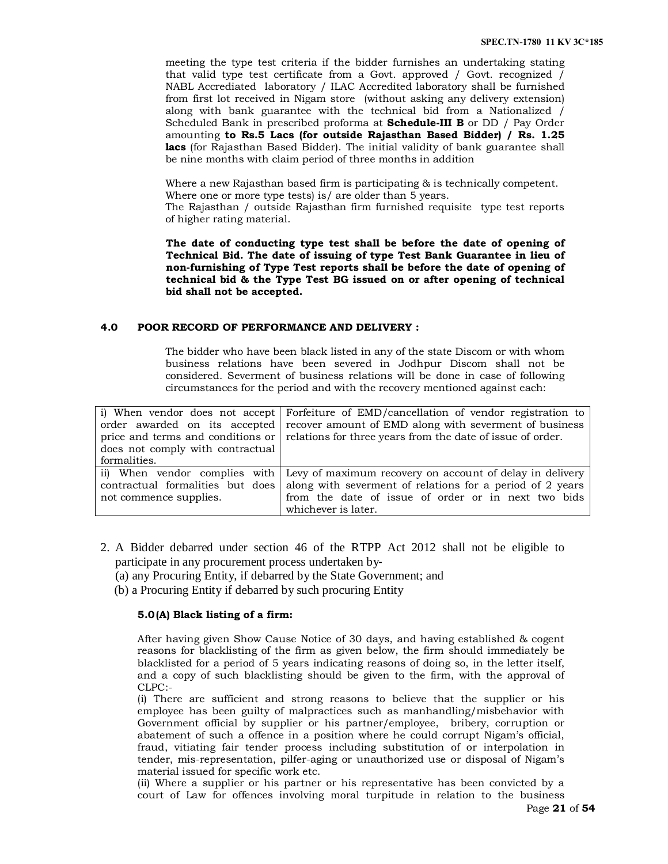meeting the type test criteria if the bidder furnishes an undertaking stating that valid type test certificate from a Govt. approved / Govt. recognized / NABL Accrediated laboratory / ILAC Accredited laboratory shall be furnished from first lot received in Nigam store (without asking any delivery extension) along with bank guarantee with the technical bid from a Nationalized / Scheduled Bank in prescribed proforma at **Schedule-III B** or DD / Pay Order amounting **to Rs.5 Lacs (for outside Rajasthan Based Bidder) / Rs. 1.25 lacs** (for Rajasthan Based Bidder). The initial validity of bank guarantee shall be nine months with claim period of three months in addition

Where a new Rajasthan based firm is participating & is technically competent. Where one or more type tests) is are older than 5 years.

The Rajasthan / outside Rajasthan firm furnished requisite type test reports of higher rating material.

**The date of conducting type test shall be before the date of opening of Technical Bid. The date of issuing of type Test Bank Guarantee in lieu of non-furnishing of Type Test reports shall be before the date of opening of technical bid & the Type Test BG issued on or after opening of technical bid shall not be accepted.** 

## **4.0 POOR RECORD OF PERFORMANCE AND DELIVERY :**

The bidder who have been black listed in any of the state Discom or with whom business relations have been severed in Jodhpur Discom shall not be considered. Severment of business relations will be done in case of following circumstances for the period and with the recovery mentioned against each:

|                                  | i) When vendor does not accept Forfeiture of EMD/cancellation of vendor registration to      |
|----------------------------------|----------------------------------------------------------------------------------------------|
|                                  | order awarded on its accepted recover amount of EMD along with severment of business         |
|                                  | price and terms and conditions or relations for three years from the date of issue of order. |
| does not comply with contractual |                                                                                              |
| formalities.                     |                                                                                              |
|                                  | ii) When vendor complies with Levy of maximum recovery on account of delay in delivery       |
| contractual formalities but does | along with severment of relations for a period of 2 years                                    |
| not commence supplies.           | from the date of issue of order or in next two bids                                          |
|                                  | whichever is later.                                                                          |

- 2. A Bidder debarred under section 46 of the RTPP Act 2012 shall not be eligible to participate in any procurement process undertaken by‐
	- (a) any Procuring Entity, if debarred by the State Government; and
	- (b) a Procuring Entity if debarred by such procuring Entity

# **5.0(A) Black listing of a firm:**

After having given Show Cause Notice of 30 days, and having established & cogent reasons for blacklisting of the firm as given below, the firm should immediately be blacklisted for a period of 5 years indicating reasons of doing so, in the letter itself, and a copy of such blacklisting should be given to the firm, with the approval of CLPC:-

(i) There are sufficient and strong reasons to believe that the supplier or his employee has been guilty of malpractices such as manhandling/misbehavior with Government official by supplier or his partner/employee, bribery, corruption or abatement of such a offence in a position where he could corrupt Nigam's official, fraud, vitiating fair tender process including substitution of or interpolation in tender, mis-representation, pilfer-aging or unauthorized use or disposal of Nigam's material issued for specific work etc.

(ii) Where a supplier or his partner or his representative has been convicted by a court of Law for offences involving moral turpitude in relation to the business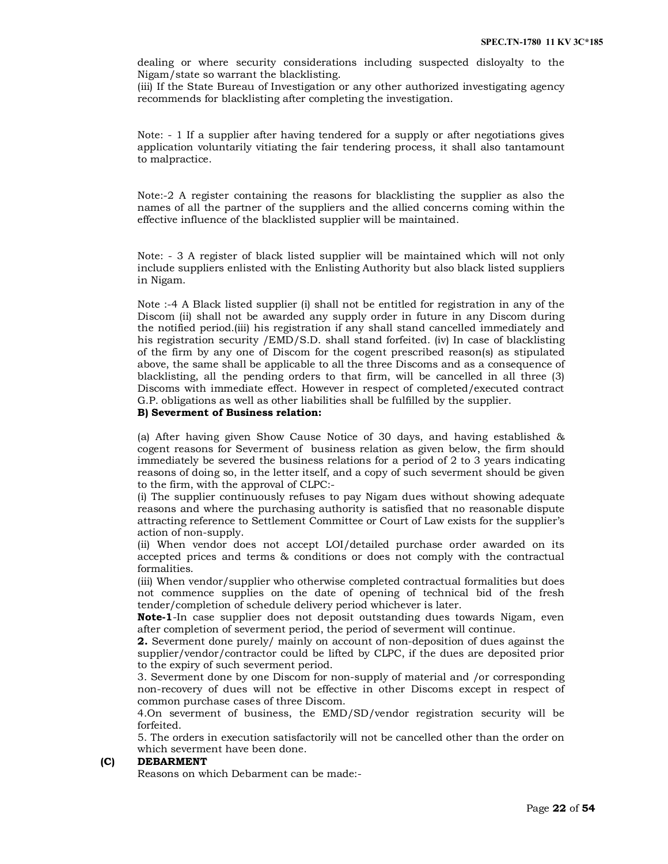dealing or where security considerations including suspected disloyalty to the Nigam/state so warrant the blacklisting.

(iii) If the State Bureau of Investigation or any other authorized investigating agency recommends for blacklisting after completing the investigation.

Note: - 1 If a supplier after having tendered for a supply or after negotiations gives application voluntarily vitiating the fair tendering process, it shall also tantamount to malpractice.

Note:-2 A register containing the reasons for blacklisting the supplier as also the names of all the partner of the suppliers and the allied concerns coming within the effective influence of the blacklisted supplier will be maintained.

Note: - 3 A register of black listed supplier will be maintained which will not only include suppliers enlisted with the Enlisting Authority but also black listed suppliers in Nigam.

Note :-4 A Black listed supplier (i) shall not be entitled for registration in any of the Discom (ii) shall not be awarded any supply order in future in any Discom during the notified period.(iii) his registration if any shall stand cancelled immediately and his registration security /EMD/S.D. shall stand forfeited. (iv) In case of blacklisting of the firm by any one of Discom for the cogent prescribed reason(s) as stipulated above, the same shall be applicable to all the three Discoms and as a consequence of blacklisting, all the pending orders to that firm, will be cancelled in all three (3) Discoms with immediate effect. However in respect of completed/executed contract G.P. obligations as well as other liabilities shall be fulfilled by the supplier.

#### **B) Severment of Business relation:**

(a) After having given Show Cause Notice of 30 days, and having established & cogent reasons for Severment of business relation as given below, the firm should immediately be severed the business relations for a period of 2 to 3 years indicating reasons of doing so, in the letter itself, and a copy of such severment should be given to the firm, with the approval of CLPC:-

(i) The supplier continuously refuses to pay Nigam dues without showing adequate reasons and where the purchasing authority is satisfied that no reasonable dispute attracting reference to Settlement Committee or Court of Law exists for the supplier's action of non-supply.

(ii) When vendor does not accept LOI/detailed purchase order awarded on its accepted prices and terms & conditions or does not comply with the contractual formalities.

(iii) When vendor/supplier who otherwise completed contractual formalities but does not commence supplies on the date of opening of technical bid of the fresh tender/completion of schedule delivery period whichever is later.

**Note-1**-In case supplier does not deposit outstanding dues towards Nigam, even after completion of severment period, the period of severment will continue.

**2.** Severment done purely/ mainly on account of non-deposition of dues against the supplier/vendor/contractor could be lifted by CLPC, if the dues are deposited prior to the expiry of such severment period.

3. Severment done by one Discom for non-supply of material and /or corresponding non-recovery of dues will not be effective in other Discoms except in respect of common purchase cases of three Discom.

4.On severment of business, the EMD/SD/vendor registration security will be forfeited.

5. The orders in execution satisfactorily will not be cancelled other than the order on which severment have been done.

# **(C) DEBARMENT**

Reasons on which Debarment can be made:-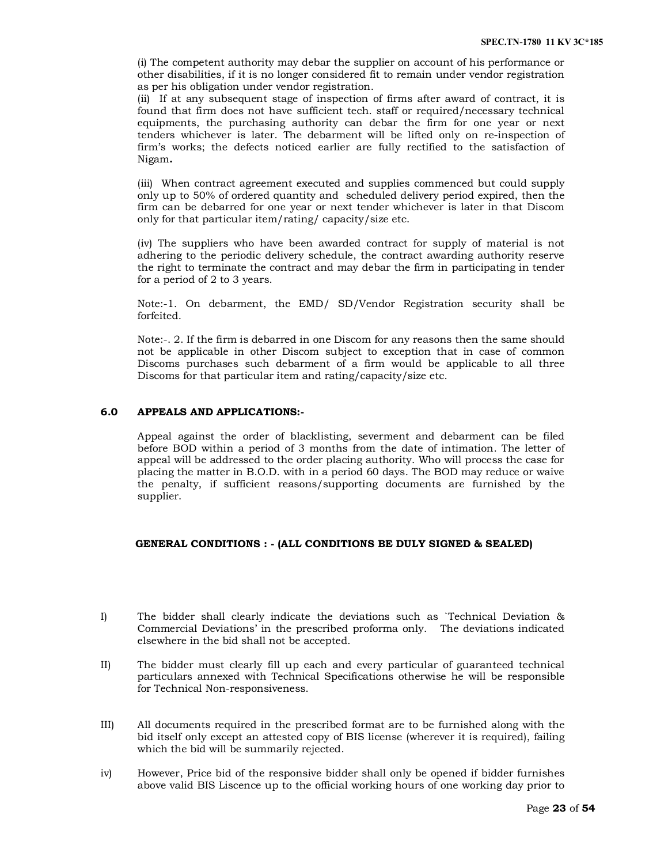(i) The competent authority may debar the supplier on account of his performance or other disabilities, if it is no longer considered fit to remain under vendor registration as per his obligation under vendor registration.

(ii) If at any subsequent stage of inspection of firms after award of contract, it is found that firm does not have sufficient tech. staff or required/necessary technical equipments, the purchasing authority can debar the firm for one year or next tenders whichever is later. The debarment will be lifted only on re-inspection of firm's works; the defects noticed earlier are fully rectified to the satisfaction of Nigam**.** 

(iii) When contract agreement executed and supplies commenced but could supply only up to 50% of ordered quantity and scheduled delivery period expired, then the firm can be debarred for one year or next tender whichever is later in that Discom only for that particular item/rating/ capacity/size etc.

(iv) The suppliers who have been awarded contract for supply of material is not adhering to the periodic delivery schedule, the contract awarding authority reserve the right to terminate the contract and may debar the firm in participating in tender for a period of 2 to 3 years.

Note:-1. On debarment, the EMD/ SD/Vendor Registration security shall be forfeited.

Note:-. 2. If the firm is debarred in one Discom for any reasons then the same should not be applicable in other Discom subject to exception that in case of common Discoms purchases such debarment of a firm would be applicable to all three Discoms for that particular item and rating/capacity/size etc.

# **6.0 APPEALS AND APPLICATIONS:-**

Appeal against the order of blacklisting, severment and debarment can be filed before BOD within a period of 3 months from the date of intimation. The letter of appeal will be addressed to the order placing authority. Who will process the case for placing the matter in B.O.D. with in a period 60 days. The BOD may reduce or waive the penalty, if sufficient reasons/supporting documents are furnished by the supplier.

# **GENERAL CONDITIONS : - (ALL CONDITIONS BE DULY SIGNED & SEALED)**

- I) The bidder shall clearly indicate the deviations such as `Technical Deviation & Commercial Deviations' in the prescribed proforma only. The deviations indicated elsewhere in the bid shall not be accepted.
- II) The bidder must clearly fill up each and every particular of guaranteed technical particulars annexed with Technical Specifications otherwise he will be responsible for Technical Non-responsiveness.
- III) All documents required in the prescribed format are to be furnished along with the bid itself only except an attested copy of BIS license (wherever it is required), failing which the bid will be summarily rejected.
- iv) However, Price bid of the responsive bidder shall only be opened if bidder furnishes above valid BIS Liscence up to the official working hours of one working day prior to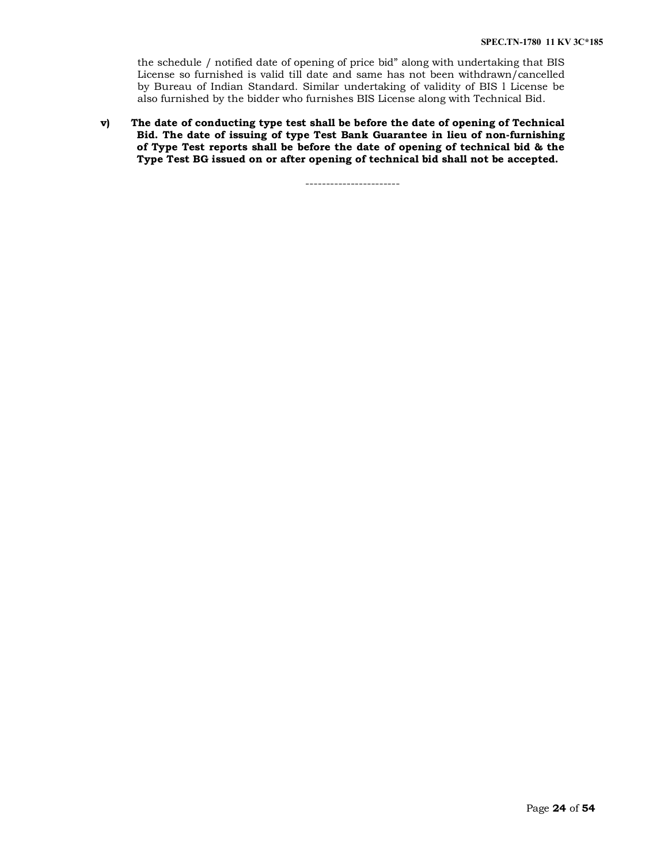the schedule / notified date of opening of price bid" along with undertaking that BIS License so furnished is valid till date and same has not been withdrawn/cancelled by Bureau of Indian Standard. Similar undertaking of validity of BIS l License be also furnished by the bidder who furnishes BIS License along with Technical Bid.

**v) The date of conducting type test shall be before the date of opening of Technical Bid. The date of issuing of type Test Bank Guarantee in lieu of non-furnishing of Type Test reports shall be before the date of opening of technical bid & the Type Test BG issued on or after opening of technical bid shall not be accepted.** 

-----------------------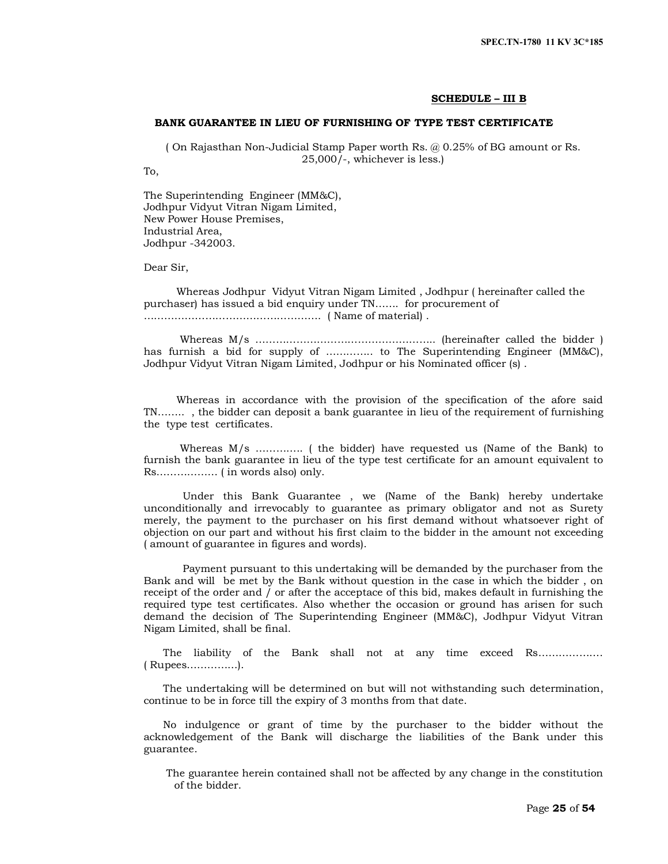#### **SCHEDULE – III B**

# **BANK GUARANTEE IN LIEU OF FURNISHING OF TYPE TEST CERTIFICATE**

( On Rajasthan Non-Judicial Stamp Paper worth Rs. @ 0.25% of BG amount or Rs. 25,000/-, whichever is less.)

To,

The Superintending Engineer (MM&C), Jodhpur Vidyut Vitran Nigam Limited, New Power House Premises, Industrial Area, Jodhpur -342003.

Dear Sir,

 Whereas Jodhpur Vidyut Vitran Nigam Limited , Jodhpur ( hereinafter called the purchaser) has issued a bid enquiry under TN……. for procurement of ……………………………………………. ( Name of material) .

 Whereas M/s …………………………………………….. (hereinafter called the bidder ) has furnish a bid for supply of ………….. to The Superintending Engineer (MM&C), Jodhpur Vidyut Vitran Nigam Limited, Jodhpur or his Nominated officer (s) .

 Whereas in accordance with the provision of the specification of the afore said TN…….. , the bidder can deposit a bank guarantee in lieu of the requirement of furnishing the type test certificates.

 Whereas M/s ………….. ( the bidder) have requested us (Name of the Bank) to furnish the bank guarantee in lieu of the type test certificate for an amount equivalent to Rs……………… ( in words also) only.

 Under this Bank Guarantee , we (Name of the Bank) hereby undertake unconditionally and irrevocably to guarantee as primary obligator and not as Surety merely, the payment to the purchaser on his first demand without whatsoever right of objection on our part and without his first claim to the bidder in the amount not exceeding ( amount of guarantee in figures and words).

 Payment pursuant to this undertaking will be demanded by the purchaser from the Bank and will be met by the Bank without question in the case in which the bidder , on receipt of the order and / or after the acceptace of this bid, makes default in furnishing the required type test certificates. Also whether the occasion or ground has arisen for such demand the decision of The Superintending Engineer (MM&C), Jodhpur Vidyut Vitran Nigam Limited, shall be final.

 The liability of the Bank shall not at any time exceed Rs………………. ( Rupees……………).

 The undertaking will be determined on but will not withstanding such determination, continue to be in force till the expiry of 3 months from that date.

 No indulgence or grant of time by the purchaser to the bidder without the acknowledgement of the Bank will discharge the liabilities of the Bank under this guarantee.

 The guarantee herein contained shall not be affected by any change in the constitution of the bidder.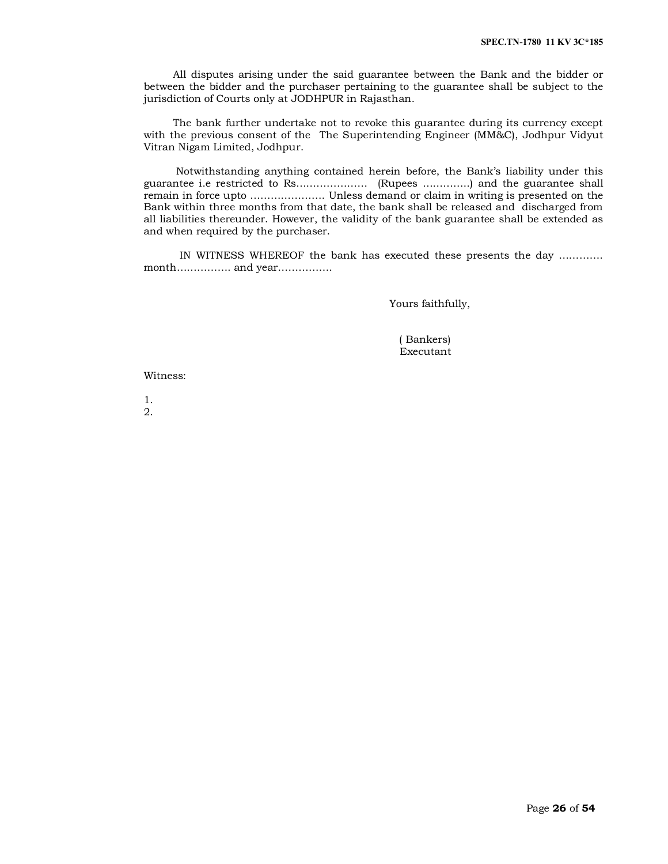All disputes arising under the said guarantee between the Bank and the bidder or between the bidder and the purchaser pertaining to the guarantee shall be subject to the jurisdiction of Courts only at JODHPUR in Rajasthan.

 The bank further undertake not to revoke this guarantee during its currency except with the previous consent of the The Superintending Engineer (MM&C), Jodhpur Vidyut Vitran Nigam Limited, Jodhpur.

 Notwithstanding anything contained herein before, the Bank's liability under this guarantee i.e restricted to Rs………………… (Rupees …………..) and the guarantee shall remain in force upto …………………. Unless demand or claim in writing is presented on the Bank within three months from that date, the bank shall be released and discharged from all liabilities thereunder. However, the validity of the bank guarantee shall be extended as and when required by the purchaser.

 IN WITNESS WHEREOF the bank has executed these presents the day …………. month……………. and year…………….

Yours faithfully,

 ( Bankers) Executant

Witness:

1. 2.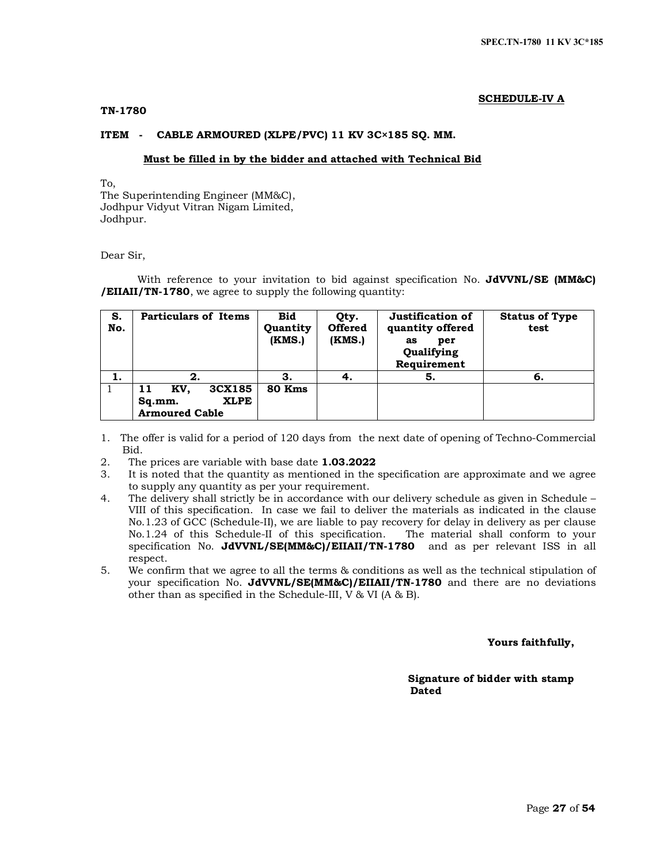# **SCHEDULE-IV A**

## **TN-1780**

# **ITEM - CABLE ARMOURED (XLPE/PVC) 11 KV 3C×185 SQ. MM.**

### **Must be filled in by the bidder and attached with Technical Bid**

To, The Superintending Engineer (MM&C), Jodhpur Vidyut Vitran Nigam Limited, Jodhpur.

Dear Sir,

With reference to your invitation to bid against specification No. **JdVVNL/SE (MM&C) /EIIAII/TN-1780**, we agree to supply the following quantity:

| S.<br>No. | <b>Particulars of Items</b>                                           | <b>Bid</b><br>Quantity<br>(KMS.) | Qty.<br><b>Offered</b><br>(KMS.) | Justification of<br>quantity offered<br>as<br>per<br>Qualifying<br>Requirement | <b>Status of Type</b><br>test |
|-----------|-----------------------------------------------------------------------|----------------------------------|----------------------------------|--------------------------------------------------------------------------------|-------------------------------|
| 1.        | 2.                                                                    | З.                               |                                  | 5.                                                                             | -6.                           |
|           | 3CX185<br>KV.<br>11<br><b>XLPE</b><br>Sq.mm.<br><b>Armoured Cable</b> | 80 Kms                           |                                  |                                                                                |                               |

1. The offer is valid for a period of 120 days from the next date of opening of Techno-Commercial Bid.

2. The prices are variable with base date **1.03.2022**

- 3. It is noted that the quantity as mentioned in the specification are approximate and we agree to supply any quantity as per your requirement.
- 4. The delivery shall strictly be in accordance with our delivery schedule as given in Schedule VIII of this specification. In case we fail to deliver the materials as indicated in the clause No.1.23 of GCC (Schedule-II), we are liable to pay recovery for delay in delivery as per clause No.1.24 of this Schedule-II of this specification. The material shall conform to your specification No. **JdVVNL/SE(MM&C)/EIIAII/TN-1780** and as per relevant ISS in all respect.
- 5. We confirm that we agree to all the terms & conditions as well as the technical stipulation of your specification No. **JdVVNL/SE(MM&C)/EIIAII/TN-1780** and there are no deviations other than as specified in the Schedule-III, V & VI (A & B).

# **Yours faithfully,**

 **Signature of bidder with stamp**  *Dated* **Dated**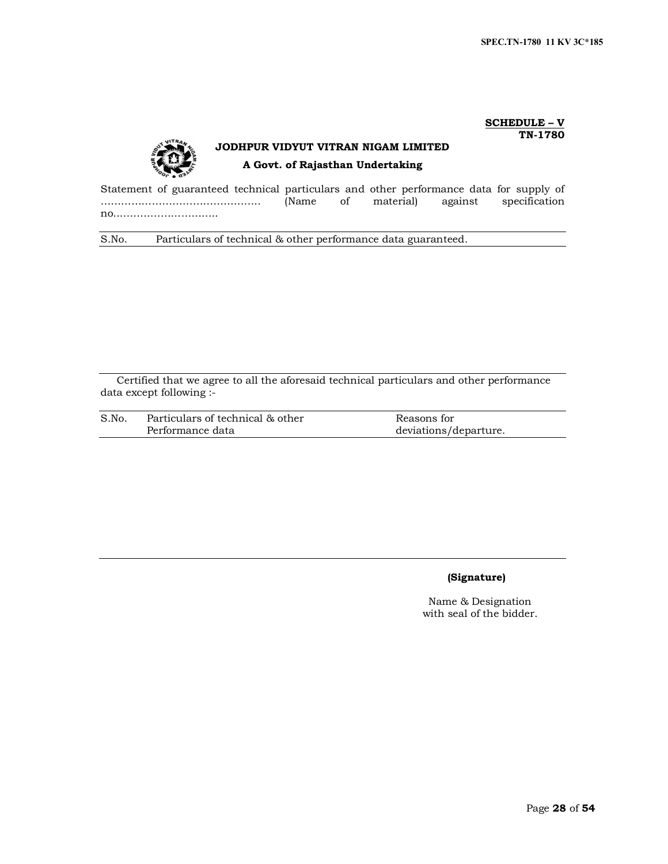#### **SCHEDULE – V TN-1780**



# **JODHPUR VIDYUT VITRAN NIGAM LIMITED A Govt. of Rajasthan Undertaking**

Statement of guaranteed technical particulars and other performance data for supply of<br>
(Name of material) against specification ……………………………………….. (Name of material) against specification no..………………………..

S.No. Particulars of technical & other performance data guaranteed.

Certified that we agree to all the aforesaid technical particulars and other performance data except following :-

| S.No. | Particulars of technical & other | Reasons for           |
|-------|----------------------------------|-----------------------|
|       | Performance data                 | deviations/departure. |

# **(Signature)**

Name & Designation with seal of the bidder.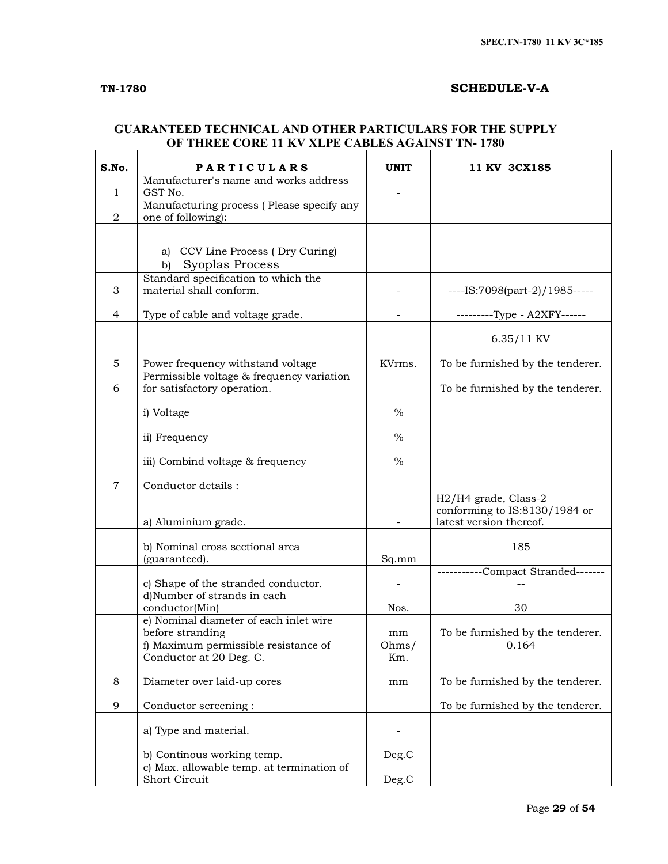$\Gamma$ 

# **TN-1780 SCHEDULE-V-A**

# **GUARANTEED TECHNICAL AND OTHER PARTICULARS FOR THE SUPPLY OF THREE CORE 11 KV XLPE CABLES AGAINST TN- 1780**

| S.No.          | <b>PARTICULARS</b>                                                       | <b>UNIT</b>   | 11 KV 3CX185                                                                     |
|----------------|--------------------------------------------------------------------------|---------------|----------------------------------------------------------------------------------|
| $\mathbf{1}$   | Manufacturer's name and works address<br>GST No.                         |               |                                                                                  |
| $\mathbf 2$    | Manufacturing process (Please specify any<br>one of following):          |               |                                                                                  |
|                |                                                                          |               |                                                                                  |
|                | CCV Line Process (Dry Curing)<br>a)<br>Syoplas Process<br>$\mathbf{b}$   |               |                                                                                  |
| 3              | Standard specification to which the<br>material shall conform.           |               | ----IS:7098(part-2)/1985-----                                                    |
| $\overline{4}$ | Type of cable and voltage grade.                                         |               | ---------Type - A2XFY------                                                      |
|                |                                                                          |               | $6.35/11$ KV                                                                     |
| 5              | Power frequency withstand voltage                                        | KVrms.        | To be furnished by the tenderer.                                                 |
| 6              | Permissible voltage & frequency variation<br>for satisfactory operation. |               | To be furnished by the tenderer.                                                 |
|                | i) Voltage                                                               | $\frac{0}{0}$ |                                                                                  |
|                | ii) Frequency                                                            | $\%$          |                                                                                  |
|                | iii) Combind voltage & frequency                                         | $\%$          |                                                                                  |
| $\overline{7}$ | Conductor details:                                                       |               |                                                                                  |
|                | a) Aluminium grade.                                                      |               | H2/H4 grade, Class-2<br>conforming to IS:8130/1984 or<br>latest version thereof. |
|                | b) Nominal cross sectional area<br>(guaranteed).                         | Sq.mm         | 185                                                                              |
|                | c) Shape of the stranded conductor.                                      |               | -----------Compact Stranded-------                                               |
|                | d)Number of strands in each<br>conductor(Min)                            | Nos.          | 30                                                                               |
|                | e) Nominal diameter of each inlet wire                                   |               |                                                                                  |
|                | before stranding<br>f) Maximum permissible resistance of                 | mm<br>Ohms/   | To be furnished by the tenderer.<br>0.164                                        |
|                | Conductor at 20 Deg. C.                                                  | Km.           |                                                                                  |
| 8              | Diameter over laid-up cores                                              | mm            | To be furnished by the tenderer.                                                 |
| 9              | Conductor screening:                                                     |               | To be furnished by the tenderer.                                                 |
|                | a) Type and material.                                                    |               |                                                                                  |
|                | b) Continous working temp.                                               | Deg.C         |                                                                                  |
|                | c) Max. allowable temp. at termination of<br>Short Circuit               | Deg.C         |                                                                                  |
|                |                                                                          |               |                                                                                  |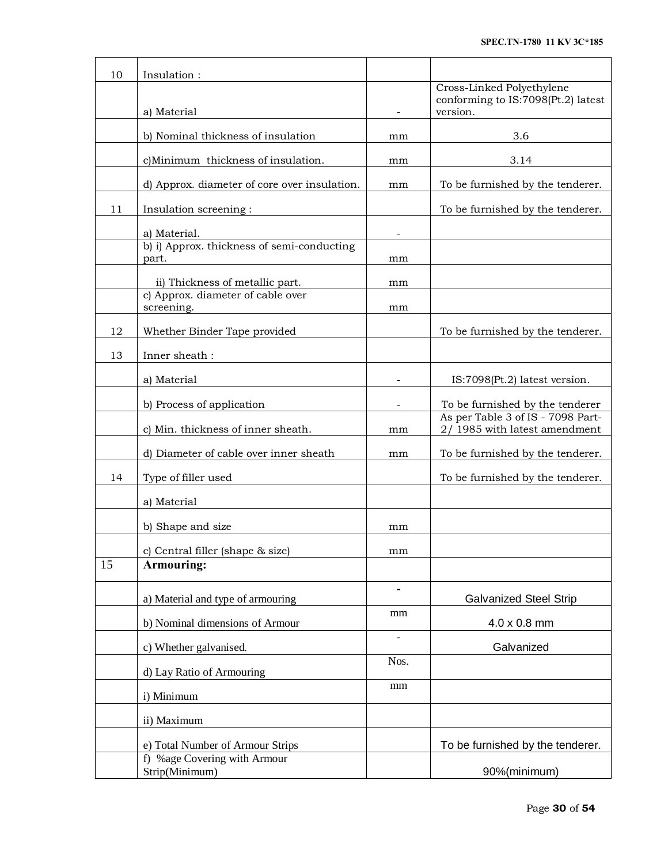| 10 | Insulation:                                         |                          |                                                                             |
|----|-----------------------------------------------------|--------------------------|-----------------------------------------------------------------------------|
|    | a) Material                                         |                          | Cross-Linked Polyethylene<br>conforming to IS:7098(Pt.2) latest<br>version. |
|    | b) Nominal thickness of insulation                  | mm                       | 3.6                                                                         |
|    |                                                     |                          |                                                                             |
|    | c)Minimum thickness of insulation.                  | mm                       | 3.14                                                                        |
|    | d) Approx. diameter of core over insulation.        | mm                       | To be furnished by the tenderer.                                            |
| 11 | Insulation screening:                               |                          | To be furnished by the tenderer.                                            |
|    | a) Material.                                        |                          |                                                                             |
|    | b) i) Approx. thickness of semi-conducting<br>part. | mm                       |                                                                             |
|    | ii) Thickness of metallic part.                     | mm                       |                                                                             |
|    | c) Approx. diameter of cable over<br>screening.     | mm                       |                                                                             |
| 12 | Whether Binder Tape provided                        |                          | To be furnished by the tenderer.                                            |
| 13 | Inner sheath:                                       |                          |                                                                             |
|    | a) Material                                         |                          | IS:7098(Pt.2) latest version.                                               |
|    | b) Process of application                           | $\overline{\phantom{a}}$ | To be furnished by the tenderer                                             |
|    | c) Min. thickness of inner sheath.                  | mm                       | As per Table 3 of IS - 7098 Part-<br>2/1985 with latest amendment           |
|    | d) Diameter of cable over inner sheath              | mm                       | To be furnished by the tenderer.                                            |
| 14 | Type of filler used                                 |                          | To be furnished by the tenderer.                                            |
|    | a) Material                                         |                          |                                                                             |
|    | b) Shape and size                                   | mm                       |                                                                             |
|    | c) Central filler (shape & size)                    | mm                       |                                                                             |
| 15 | Armouring:                                          |                          |                                                                             |
|    | a) Material and type of armouring                   | $\overline{\phantom{a}}$ | <b>Galvanized Steel Strip</b>                                               |
|    | b) Nominal dimensions of Armour                     | mm                       | 4.0 x 0.8 mm                                                                |
|    | c) Whether galvanised.                              |                          | Galvanized                                                                  |
|    | d) Lay Ratio of Armouring                           | Nos.                     |                                                                             |
|    | i) Minimum                                          | mm                       |                                                                             |
|    | ii) Maximum                                         |                          |                                                                             |
|    | e) Total Number of Armour Strips                    |                          | To be furnished by the tenderer.                                            |
|    | f) %age Covering with Armour                        |                          |                                                                             |
|    | Strip(Minimum)                                      |                          | 90%(minimum)                                                                |

 $\mathsf{r}$ 

 $\overline{\mathbf{r}}$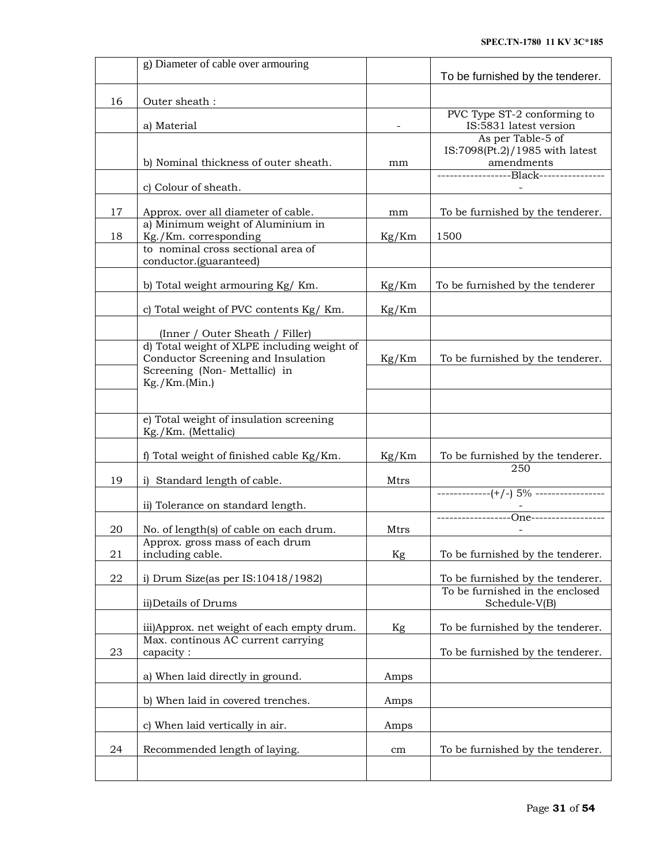|    | g) Diameter of cable over armouring                                                                               |       | To be furnished by the tenderer.                                  |
|----|-------------------------------------------------------------------------------------------------------------------|-------|-------------------------------------------------------------------|
| 16 | Outer sheath:                                                                                                     |       |                                                                   |
|    | a) Material                                                                                                       |       | PVC Type ST-2 conforming to<br>IS:5831 latest version             |
|    | b) Nominal thickness of outer sheath.                                                                             | mm    | As per Table-5 of<br>IS:7098(Pt.2)/1985 with latest<br>amendments |
|    | c) Colour of sheath.                                                                                              |       | ------------------Black----------------                           |
| 17 | Approx. over all diameter of cable.                                                                               | mm    | To be furnished by the tenderer.                                  |
| 18 | a) Minimum weight of Aluminium in<br>Kg./Km. corresponding                                                        | Kg/Km | 1500                                                              |
|    | to nominal cross sectional area of<br>conductor.(guaranteed)                                                      |       |                                                                   |
|    | b) Total weight armouring Kg/ Km.                                                                                 | Kg/Km | To be furnished by the tenderer                                   |
|    | c) Total weight of PVC contents Kg/ Km.                                                                           | Kg/Km |                                                                   |
|    | (Inner / Outer Sheath / Filler)                                                                                   |       |                                                                   |
|    | d) Total weight of XLPE including weight of<br>Conductor Screening and Insulation<br>Screening (Non-Mettallic) in | Kg/Km | To be furnished by the tenderer.                                  |
|    | Kg./Km.(Min.)                                                                                                     |       |                                                                   |
|    | e) Total weight of insulation screening<br>Kg./Km. (Mettalic)                                                     |       |                                                                   |
|    | f) Total weight of finished cable Kg/Km.                                                                          | Kg/Km | To be furnished by the tenderer.<br>250                           |
| 19 | i) Standard length of cable.                                                                                      | Mtrs  |                                                                   |
|    | ii) Tolerance on standard length.                                                                                 |       | -------------(+/-) 5% -----------------                           |
| 20 | No. of length(s) of cable on each drum.                                                                           | Mtrs  |                                                                   |
| 21 | Approx. gross mass of each drum<br>including cable.                                                               | Kg    | To be furnished by the tenderer.                                  |
| 22 | i) Drum Size(as per $IS:10418/1982$ )                                                                             |       | To be furnished by the tenderer.                                  |
|    | ii)Details of Drums                                                                                               |       | To be furnished in the enclosed<br>Schedule-V(B)                  |
|    | iii) Approx. net weight of each empty drum.                                                                       | Kg    | To be furnished by the tenderer.                                  |
| 23 | Max. continous AC current carrying<br>capacity:                                                                   |       | To be furnished by the tenderer.                                  |
|    | a) When laid directly in ground.                                                                                  | Amps  |                                                                   |
|    | b) When laid in covered trenches.                                                                                 | Amps  |                                                                   |
|    | c) When laid vertically in air.                                                                                   | Amps  |                                                                   |
| 24 | Recommended length of laying.                                                                                     | cm    | To be furnished by the tenderer.                                  |
|    |                                                                                                                   |       |                                                                   |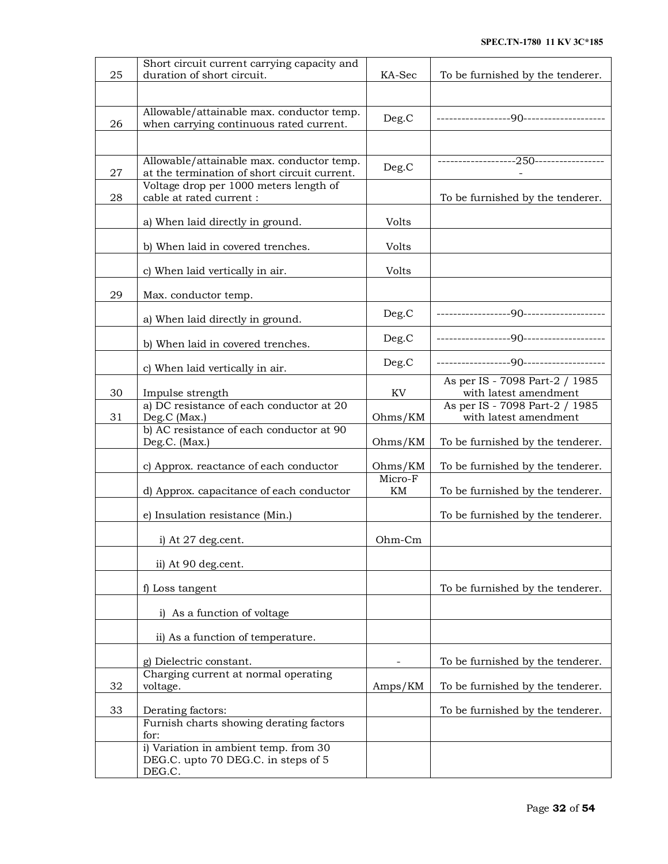|    | Short circuit current carrying capacity and                                  |         |                                                         |
|----|------------------------------------------------------------------------------|---------|---------------------------------------------------------|
| 25 | duration of short circuit.                                                   | KA-Sec  | To be furnished by the tenderer.                        |
|    |                                                                              |         |                                                         |
|    | Allowable/attainable max. conductor temp.                                    | Deg.C   |                                                         |
| 26 | when carrying continuous rated current.                                      |         |                                                         |
|    |                                                                              |         |                                                         |
|    | Allowable/attainable max. conductor temp.                                    |         |                                                         |
| 27 | at the termination of short circuit current.                                 | Deg.C   |                                                         |
|    | Voltage drop per 1000 meters length of                                       |         |                                                         |
| 28 | cable at rated current :                                                     |         | To be furnished by the tenderer.                        |
|    | a) When laid directly in ground.                                             | Volts   |                                                         |
|    |                                                                              |         |                                                         |
|    | b) When laid in covered trenches.                                            | Volts   |                                                         |
|    | c) When laid vertically in air.                                              | Volts   |                                                         |
|    |                                                                              |         |                                                         |
| 29 | Max. conductor temp.                                                         |         |                                                         |
|    |                                                                              | Deg.C   | -----------------90-------------------                  |
|    | a) When laid directly in ground.                                             |         |                                                         |
|    | b) When laid in covered trenches.                                            | Deg.C   |                                                         |
|    |                                                                              | Deg.C   | -----------------90-------------------                  |
|    | c) When laid vertically in air.                                              |         |                                                         |
| 30 | Impulse strength                                                             | KV      | As per IS - 7098 Part-2 / 1985<br>with latest amendment |
|    | a) DC resistance of each conductor at 20                                     |         | As per IS - 7098 Part-2 / 1985                          |
| 31 | Deg.C (Max.)                                                                 | Ohms/KM | with latest amendment                                   |
|    | b) AC resistance of each conductor at 90                                     |         |                                                         |
|    | Deg.C. (Max.)                                                                | Ohms/KM | To be furnished by the tenderer.                        |
|    | c) Approx. reactance of each conductor                                       | Ohms/KM | To be furnished by the tenderer.                        |
|    |                                                                              | Micro-F |                                                         |
|    | d) Approx. capacitance of each conductor                                     | KM      | To be furnished by the tenderer.                        |
|    | e) Insulation resistance (Min.)                                              |         | To be furnished by the tenderer.                        |
|    |                                                                              |         |                                                         |
|    | i) At 27 deg.cent.                                                           | Ohm-Cm  |                                                         |
|    |                                                                              |         |                                                         |
|    | ii) At 90 deg.cent.                                                          |         |                                                         |
|    | f) Loss tangent                                                              |         | To be furnished by the tenderer.                        |
|    |                                                                              |         |                                                         |
|    | i) As a function of voltage                                                  |         |                                                         |
|    | ii) As a function of temperature.                                            |         |                                                         |
|    |                                                                              |         |                                                         |
|    | g) Dielectric constant.                                                      |         | To be furnished by the tenderer.                        |
|    | Charging current at normal operating                                         |         |                                                         |
| 32 | voltage.                                                                     | Amps/KM | To be furnished by the tenderer.                        |
| 33 | Derating factors:                                                            |         | To be furnished by the tenderer.                        |
|    | Furnish charts showing derating factors                                      |         |                                                         |
|    | for:                                                                         |         |                                                         |
|    | i) Variation in ambient temp. from 30<br>DEG.C. upto 70 DEG.C. in steps of 5 |         |                                                         |
|    | DEG.C.                                                                       |         |                                                         |
|    |                                                                              |         |                                                         |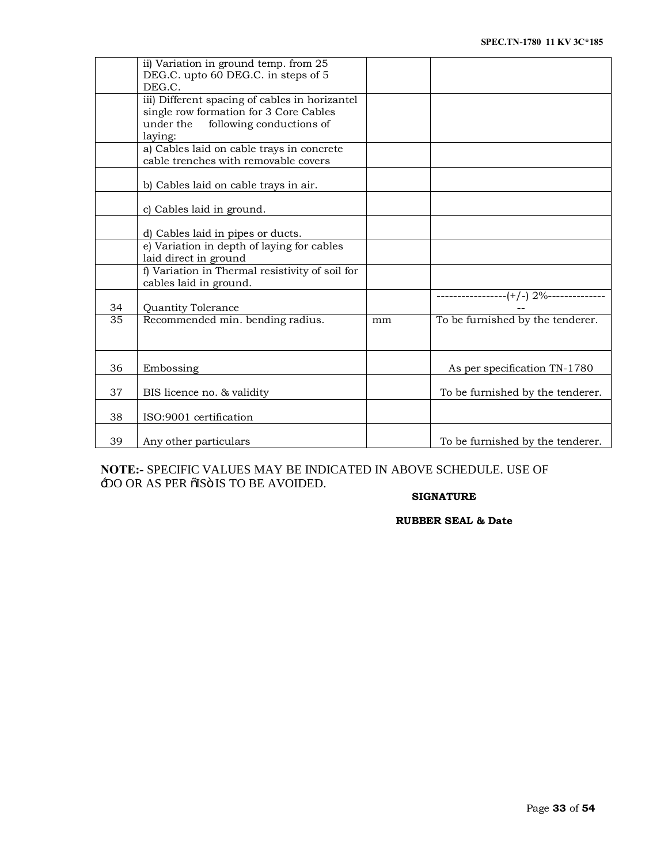|    | ii) Variation in ground temp. from 25<br>DEG.C. upto 60 DEG.C. in steps of 5<br>DEG.C.                                                       |    |                                  |
|----|----------------------------------------------------------------------------------------------------------------------------------------------|----|----------------------------------|
|    | iii) Different spacing of cables in horizantel<br>single row formation for 3 Core Cables<br>under the<br>following conductions of<br>laying: |    |                                  |
|    | a) Cables laid on cable trays in concrete<br>cable trenches with removable covers                                                            |    |                                  |
|    | b) Cables laid on cable trays in air.                                                                                                        |    |                                  |
|    | c) Cables laid in ground.                                                                                                                    |    |                                  |
|    | d) Cables laid in pipes or ducts.                                                                                                            |    |                                  |
|    | e) Variation in depth of laying for cables<br>laid direct in ground                                                                          |    |                                  |
|    | f) Variation in Thermal resistivity of soil for<br>cables laid in ground.                                                                    |    |                                  |
| 34 | Quantity Tolerance                                                                                                                           |    |                                  |
| 35 | Recommended min. bending radius.                                                                                                             | mm | To be furnished by the tenderer. |
| 36 | Embossing                                                                                                                                    |    | As per specification TN-1780     |
| 37 | BIS licence no. & validity                                                                                                                   |    | To be furnished by the tenderer. |
| 38 | ISO:9001 certification                                                                                                                       |    |                                  |
| 39 | Any other particulars                                                                                                                        |    | To be furnished by the tenderer. |

**NOTE:-** SPECIFIC VALUES MAY BE INDICATED IN ABOVE SCHEDULE. USE OF -DO OR AS PER  $\tilde{o}$ IS IS TO BE AVOIDED.

# **SIGNATURE**

**RUBBER SEAL & Date**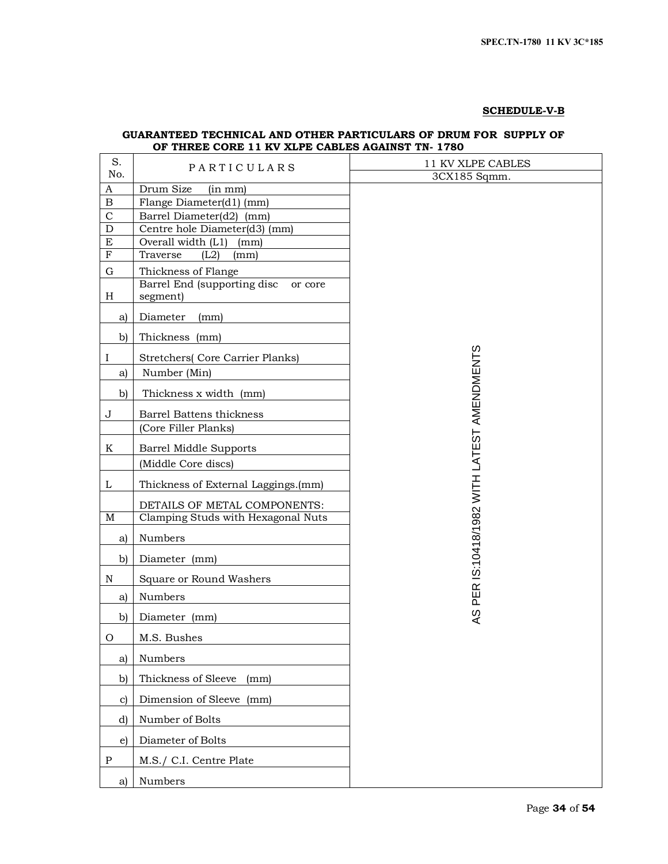# **SCHEDULE-V-B**

# **GUARANTEED TECHNICAL AND OTHER PARTICULARS OF DRUM FOR SUPPLY OF OF THREE CORE 11 KV XLPE CABLES AGAINST TN- 1780**

| S.                          | PARTICULARS                                          | 11 KV XLPE CABLES                           |  |  |  |  |
|-----------------------------|------------------------------------------------------|---------------------------------------------|--|--|--|--|
| No.                         |                                                      | 3CX185 Sqmm.                                |  |  |  |  |
| $\boldsymbol{A}$            | Drum Size<br>(in mm)                                 |                                             |  |  |  |  |
| $\, {\bf B}$<br>$\mathbf C$ | Flange Diameter(d1) (mm)<br>Barrel Diameter(d2) (mm) |                                             |  |  |  |  |
| ${\bf D}$                   | Centre hole Diameter(d3) (mm)                        |                                             |  |  |  |  |
| E                           | Overall width (L1)<br>(mm)                           |                                             |  |  |  |  |
| ${\bf F}$                   | Traverse<br>(L2)<br>(mm)                             |                                             |  |  |  |  |
| G                           | Thickness of Flange                                  |                                             |  |  |  |  |
|                             | Barrel End (supporting disc<br>or core               |                                             |  |  |  |  |
| $H_{\rm}$                   | segment)                                             |                                             |  |  |  |  |
| a)                          | Diameter<br>(mm)                                     |                                             |  |  |  |  |
| b)                          | Thickness (mm)                                       |                                             |  |  |  |  |
| I                           | <b>Stretchers</b> (Core Carrier Planks)              |                                             |  |  |  |  |
| a)                          | Number (Min)                                         |                                             |  |  |  |  |
| $\mathbf{b}$                | Thickness x width (mm)                               |                                             |  |  |  |  |
| J                           | Barrel Battens thickness                             |                                             |  |  |  |  |
|                             | (Core Filler Planks)                                 |                                             |  |  |  |  |
| K                           | Barrel Middle Supports                               |                                             |  |  |  |  |
|                             | (Middle Core discs)                                  |                                             |  |  |  |  |
| L                           | Thickness of External Laggings.(mm)                  | AS PER IS:10418/1982 WITH LATEST AMENDMENTS |  |  |  |  |
|                             | DETAILS OF METAL COMPONENTS:                         |                                             |  |  |  |  |
| M                           | Clamping Studs with Hexagonal Nuts                   |                                             |  |  |  |  |
| a)                          | Numbers                                              |                                             |  |  |  |  |
| b)                          | Diameter (mm)                                        |                                             |  |  |  |  |
| N                           | Square or Round Washers                              |                                             |  |  |  |  |
| a)                          | Numbers                                              |                                             |  |  |  |  |
| b)                          | Diameter (mm)                                        |                                             |  |  |  |  |
| O                           | M.S. Bushes                                          |                                             |  |  |  |  |
| a)                          | Numbers                                              |                                             |  |  |  |  |
| $\mathbf{b}$                | Thickness of Sleeve<br>(mm)                          |                                             |  |  |  |  |
| $\mathbf{c}$                | Dimension of Sleeve (mm)                             |                                             |  |  |  |  |
| d)                          | Number of Bolts                                      |                                             |  |  |  |  |
| e)                          | Diameter of Bolts                                    |                                             |  |  |  |  |
| $\mathbf P$                 | M.S./ C.I. Centre Plate                              |                                             |  |  |  |  |
| a)                          | Numbers                                              |                                             |  |  |  |  |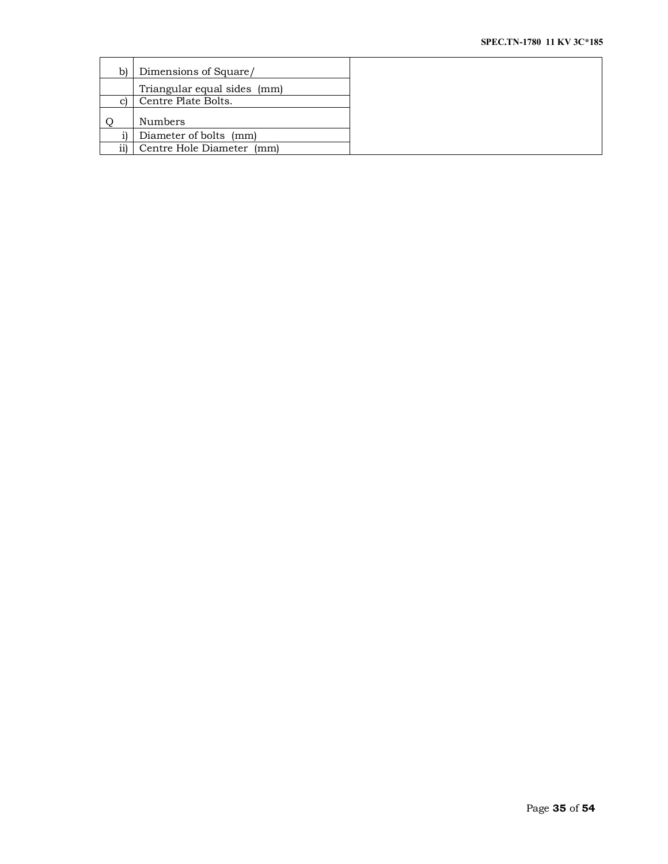| b) | Dimensions of Square/       |
|----|-----------------------------|
|    | Triangular equal sides (mm) |
|    | Centre Plate Bolts.         |
|    | <b>Numbers</b>              |
|    | Diameter of bolts (mm)      |
|    | Centre Hole Diameter (mm)   |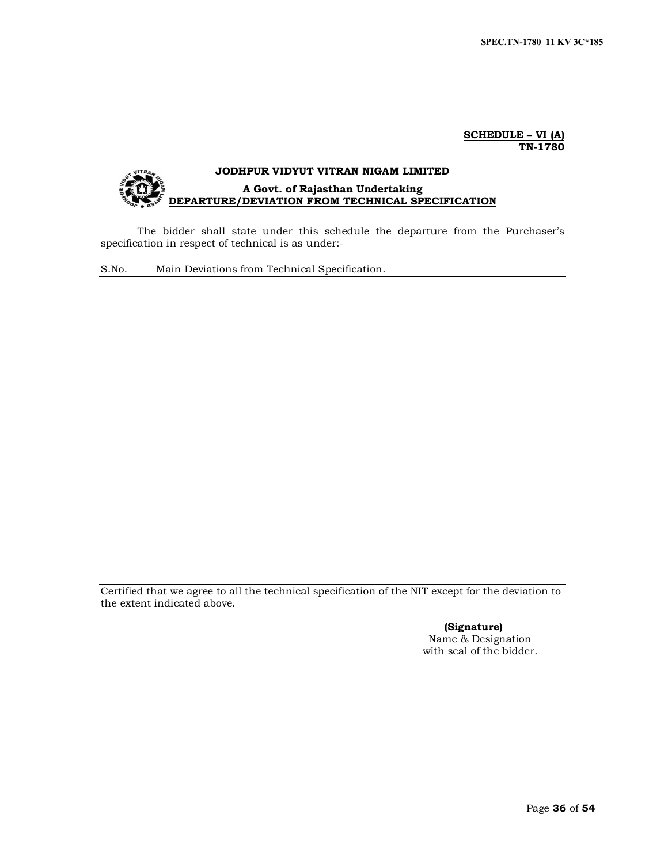### **SCHEDULE – VI (A) TN-1780**

# **JODHPUR VIDYUT VITRAN NIGAM LIMITED A Govt. of Rajasthan Undertaking DEPARTURE/DEVIATION FROM TECHNICAL SPECIFICATION**

The bidder shall state under this schedule the departure from the Purchaser's specification in respect of technical is as under:-

S.No. Main Deviations from Technical Specification.

Certified that we agree to all the technical specification of the NIT except for the deviation to the extent indicated above.

> **(Signature)** Name & Designation with seal of the bidder.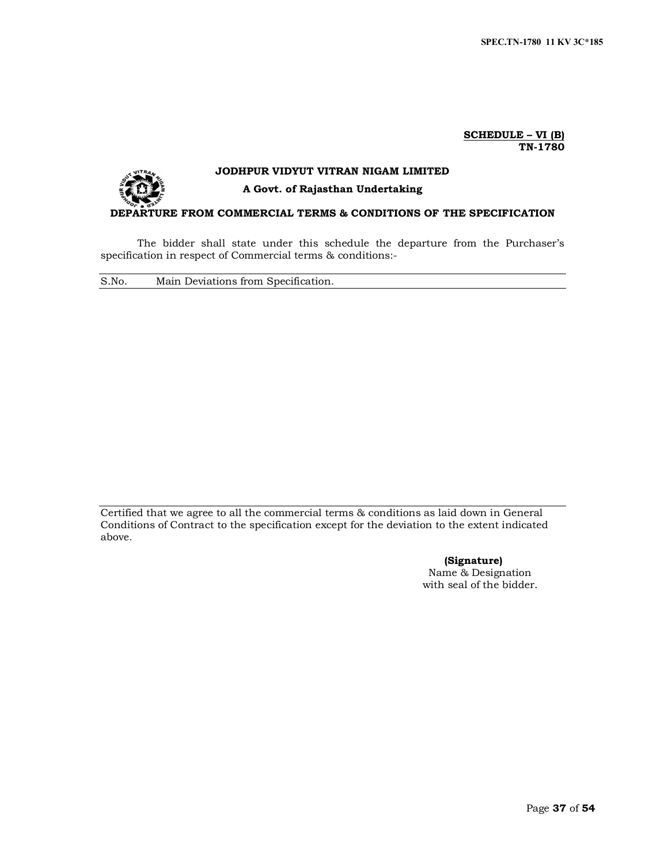#### **SCHEDULE – VI (B) TN-1780**



# **JODHPUR VIDYUT VITRAN NIGAM LIMITED**

# **A Govt. of Rajasthan Undertaking**

## **DEPARTURE FROM COMMERCIAL TERMS & CONDITIONS OF THE SPECIFICATION**

The bidder shall state under this schedule the departure from the Purchaser's specification in respect of Commercial terms & conditions:-

S.No. Main Deviations from Specification.

Certified that we agree to all the commercial terms & conditions as laid down in General Conditions of Contract to the specification except for the deviation to the extent indicated above.

> **(Signature)** Name & Designation with seal of the bidder.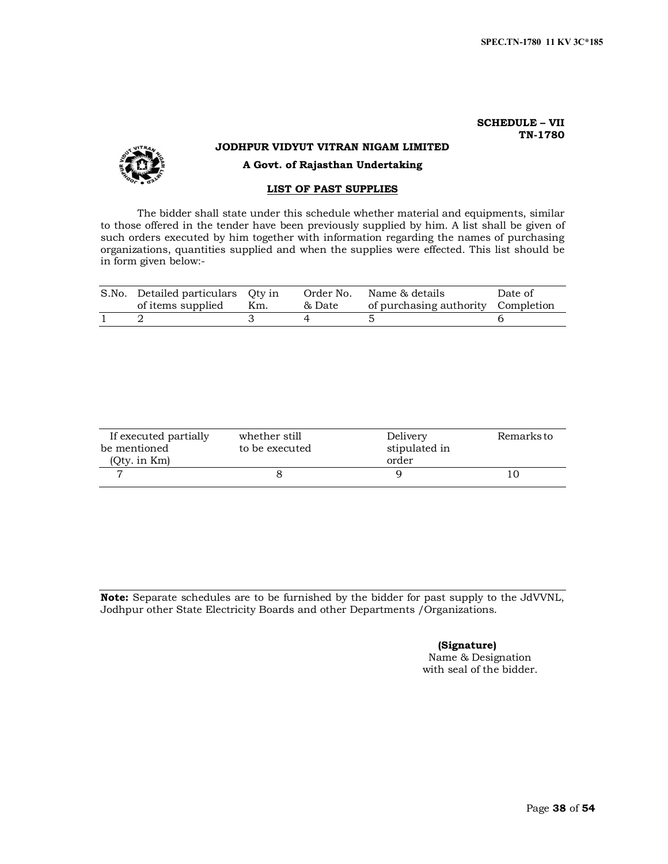# **SCHEDULE – VII TN-1780**



# **JODHPUR VIDYUT VITRAN NIGAM LIMITED**

**A Govt. of Rajasthan Undertaking**

# **LIST OF PAST SUPPLIES**

The bidder shall state under this schedule whether material and equipments, similar to those offered in the tender have been previously supplied by him. A list shall be given of such orders executed by him together with information regarding the names of purchasing organizations, quantities supplied and when the supplies were effected. This list should be in form given below:-

| S.No. Detailed particulars Qty in<br>of items supplied | Km. | & Date | Order No. Name & details<br>of purchasing authority Completion | Date of |
|--------------------------------------------------------|-----|--------|----------------------------------------------------------------|---------|
|                                                        |     |        |                                                                |         |

| If executed partially | whether still  | Delivery      | Remarks to |
|-----------------------|----------------|---------------|------------|
| be mentioned          | to be executed | stipulated in |            |
| $(0$ ty. in $Km)$     |                | order         |            |
|                       |                |               |            |

**Note:** Separate schedules are to be furnished by the bidder for past supply to the JdVVNL, Jodhpur other State Electricity Boards and other Departments /Organizations.

# **(Signature)**

Name & Designation with seal of the bidder.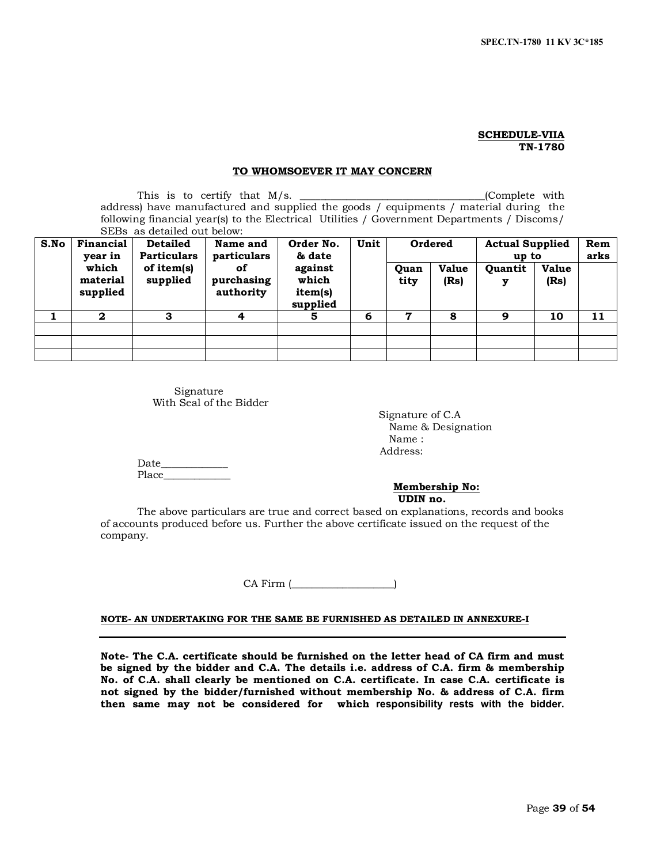#### **SCHEDULE-VIIA TN-1780**

## **TO WHOMSOEVER IT MAY CONCERN**

This is to certify that  $M/s$ . (Complete with address) have manufactured and supplied the goods / equipments / material during the following financial year(s) to the Electrical Utilities / Government Departments / Discoms/ SEBs as detailed out below:

| S.No | Financial<br>Order No.<br>Name and<br><b>Detailed</b><br><b>Particulars</b><br>& date<br>particulars<br>year in | Unit                   | <b>Ordered</b>                |                                         | <b>Actual Supplied</b><br>up to |              | Rem<br>arks          |                     |                      |    |
|------|-----------------------------------------------------------------------------------------------------------------|------------------------|-------------------------------|-----------------------------------------|---------------------------------|--------------|----------------------|---------------------|----------------------|----|
|      | which<br>material<br>supplied                                                                                   | of item(s)<br>supplied | οf<br>purchasing<br>authority | against<br>which<br>item(s)<br>supplied |                                 | Quan<br>tity | <b>Value</b><br>(Rs) | <b>Ouantit</b><br>у | <b>Value</b><br>(Rs) |    |
|      | $\mathbf{2}$                                                                                                    | 3                      | 4                             | 5                                       | 6                               | 7            | 8                    | 9                   | 10                   | 11 |
|      |                                                                                                                 |                        |                               |                                         |                                 |              |                      |                     |                      |    |
|      |                                                                                                                 |                        |                               |                                         |                                 |              |                      |                     |                      |    |
|      |                                                                                                                 |                        |                               |                                         |                                 |              |                      |                     |                      |    |

Signature With Seal of the Bidder

> Signature of C.A Name & Designation Name : Address:

Date Place

> **Membership No: UDIN no.**

The above particulars are true and correct based on explanations, records and books of accounts produced before us. Further the above certificate issued on the request of the company.

CA Firm (

#### **NOTE- AN UNDERTAKING FOR THE SAME BE FURNISHED AS DETAILED IN ANNEXURE-I**

**Note- The C.A. certificate should be furnished on the letter head of CA firm and must be signed by the bidder and C.A. The details i.e. address of C.A. firm & membership No. of C.A. shall clearly be mentioned on C.A. certificate. In case C.A. certificate is not signed by the bidder/furnished without membership No. & address of C.A. firm then same may not be considered for which responsibility rests with the bidder.**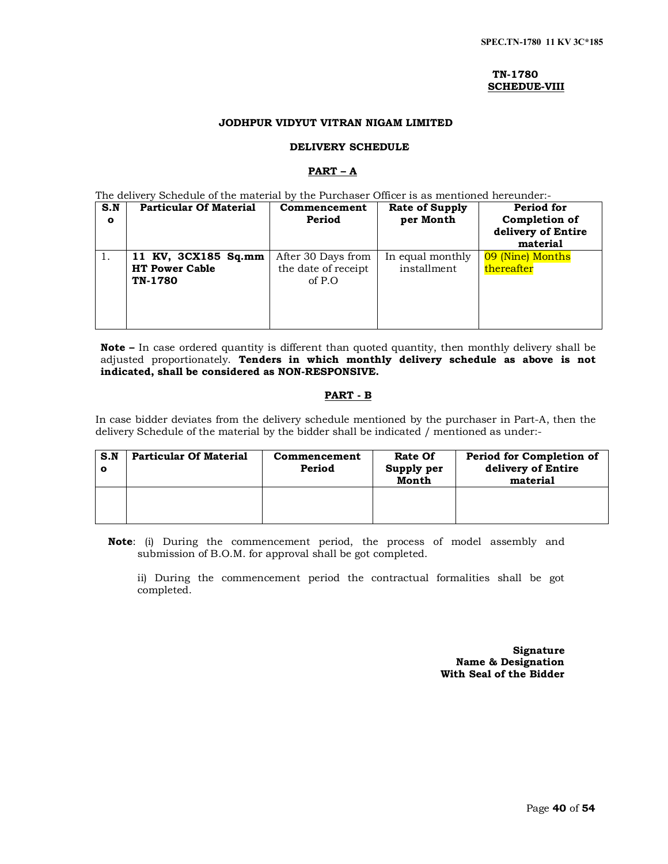#### **TN-1780 SCHEDUE-VIII**

# **JODHPUR VIDYUT VITRAN NIGAM LIMITED**

## **DELIVERY SCHEDULE**

# **PART – A**

The delivery Schedule of the material by the Purchaser Officer is as mentioned hereunder:-

| S.N<br>$\bullet$ | <b>Particular Of Material</b>                           | Commencement<br>Period                              | <b>Rate of Supply</b><br>per Month | Period for<br>Completion of<br>delivery of Entire<br>material |
|------------------|---------------------------------------------------------|-----------------------------------------------------|------------------------------------|---------------------------------------------------------------|
| 1.               | 11 KV, 3CX185 Sq.mm<br><b>HT Power Cable</b><br>TN-1780 | After 30 Days from<br>the date of receipt<br>of P.O | In equal monthly<br>installment    | 09 (Nine) Months<br>thereafter                                |

**Note –** In case ordered quantity is different than quoted quantity, then monthly delivery shall be adjusted proportionately. **Tenders in which monthly delivery schedule as above is not indicated, shall be considered as NON-RESPONSIVE.**

# **PART - B**

In case bidder deviates from the delivery schedule mentioned by the purchaser in Part-A, then the delivery Schedule of the material by the bidder shall be indicated / mentioned as under:-

| S.N<br>Ω | <b>Particular Of Material</b> | Commencement<br>Period | <b>Rate Of</b><br>Supply per<br>Month | Period for Completion of<br>delivery of Entire<br>material |
|----------|-------------------------------|------------------------|---------------------------------------|------------------------------------------------------------|
|          |                               |                        |                                       |                                                            |

**Note**: (i) During the commencement period, the process of model assembly and submission of B.O.M. for approval shall be got completed.

ii) During the commencement period the contractual formalities shall be got completed.

> **Signature Name & Designation With Seal of the Bidder**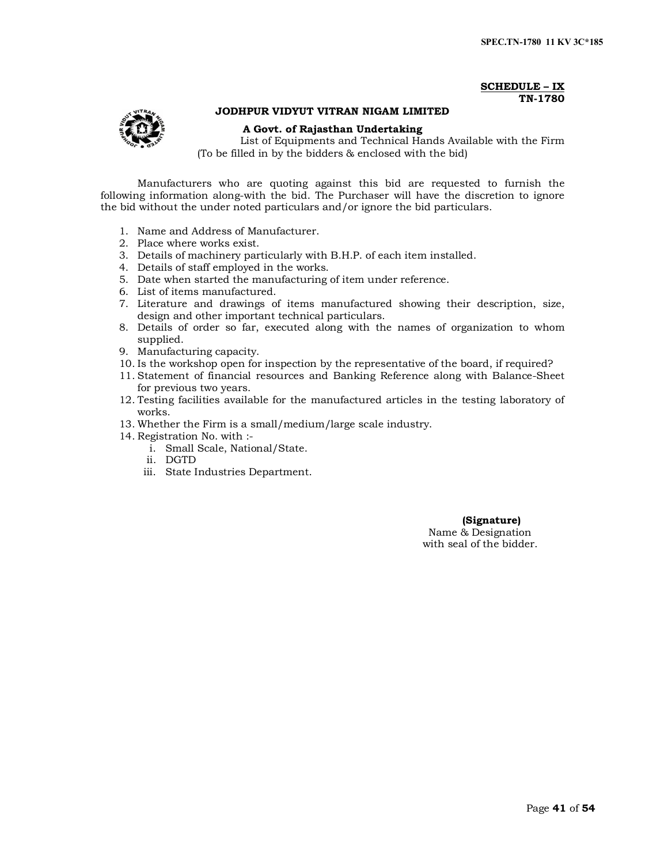## **SCHEDULE – IX TN-1780**



# **JODHPUR VIDYUT VITRAN NIGAM LIMITED**

### **A Govt. of Rajasthan Undertaking**

List of Equipments and Technical Hands Available with the Firm (To be filled in by the bidders & enclosed with the bid)

Manufacturers who are quoting against this bid are requested to furnish the following information along-with the bid. The Purchaser will have the discretion to ignore the bid without the under noted particulars and/or ignore the bid particulars.

- 1. Name and Address of Manufacturer.
- 2. Place where works exist.
- 3. Details of machinery particularly with B.H.P. of each item installed.
- 4. Details of staff employed in the works.
- 5. Date when started the manufacturing of item under reference.
- 6. List of items manufactured.
- 7. Literature and drawings of items manufactured showing their description, size, design and other important technical particulars.
- 8. Details of order so far, executed along with the names of organization to whom supplied.
- 9. Manufacturing capacity.
- 10. Is the workshop open for inspection by the representative of the board, if required?
- 11. Statement of financial resources and Banking Reference along with Balance-Sheet for previous two years.
- 12. Testing facilities available for the manufactured articles in the testing laboratory of works.
- 13. Whether the Firm is a small/medium/large scale industry.
- 14. Registration No. with :
	- i. Small Scale, National/State.
	- ii. DGTD
	- iii. State Industries Department.

#### **(Signature)**

Name & Designation with seal of the bidder.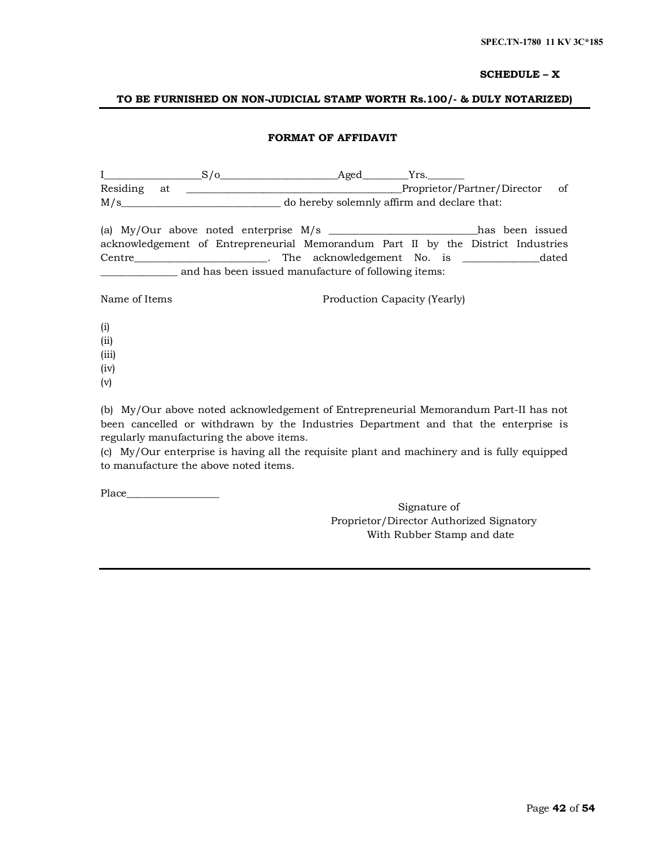## **SCHEDULE – X**

# **TO BE FURNISHED ON NON-JUDICIAL STAMP WORTH Rs.100/- & DULY NOTARIZED)**

# **FORMAT OF AFFIDAVIT**

|                 | S/O | Aged                                                                                 | Yrs.                         |                                |  |
|-----------------|-----|--------------------------------------------------------------------------------------|------------------------------|--------------------------------|--|
| Residing at     |     |                                                                                      |                              | Proprietor/Partner/Director of |  |
|                 | M/s | do hereby solemnly affirm and declare that:                                          |                              |                                |  |
|                 |     | (a) My/Our above noted enterprise $M/s$ ________________________has been issued      |                              |                                |  |
|                 |     | acknowledgement of Entrepreneurial Memorandum Part II by the District Industries     |                              |                                |  |
|                 |     | Centre__________________________. The acknowledgement No. is __________________dated |                              |                                |  |
|                 |     | and has been issued manufacture of following items:                                  |                              |                                |  |
| Name of Items   |     |                                                                                      | Production Capacity (Yearly) |                                |  |
| (i)<br>$\cdots$ |     |                                                                                      |                              |                                |  |

(ii)

(iii)

(iv)

(v)

(b) My/Our above noted acknowledgement of Entrepreneurial Memorandum Part-II has not been cancelled or withdrawn by the Industries Department and that the enterprise is regularly manufacturing the above items.

(c) My/Our enterprise is having all the requisite plant and machinery and is fully equipped to manufacture the above noted items.

Place

Signature of Proprietor/Director Authorized Signatory With Rubber Stamp and date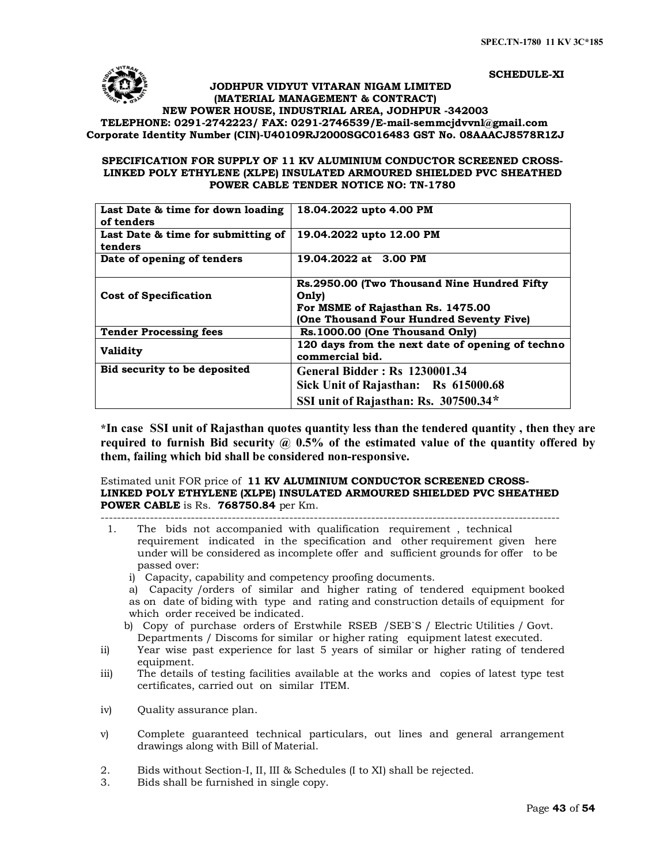#### **SCHEDULE-XI**

# **JODHPUR VIDYUT VITARAN NIGAM LIMITED (MATERIAL MANAGEMENT & CONTRACT) NEW POWER HOUSE, INDUSTRIAL AREA, JODHPUR -342003 TELEPHONE: 0291-2742223/ FAX: 0291-2746539/E-mail-semmcjdvvnl@gmail.com Corporate Identity Number (CIN)-U40109RJ2000SGC016483 [GST No. 08AAACJ8578R1Z](mailto:semmcjdvvnl@gmail.com)J**

# **SPECIFICATION FOR SUPPLY OF 11 KV ALUMINIUM CONDUCTOR SCREENED CROSS-LINKED POLY ETHYLENE (XLPE) INSULATED ARMOURED SHIELDED PVC SHEATHED POWER CABLE TENDER NOTICE NO: TN-1780**

| Last Date & time for down loading<br>of tenders | 18.04.2022 upto 4.00 PM                                                                                                                |
|-------------------------------------------------|----------------------------------------------------------------------------------------------------------------------------------------|
| Last Date & time for submitting of<br>tenders   | 19.04.2022 upto 12.00 PM                                                                                                               |
| Date of opening of tenders                      | 19.04.2022 at 3.00 PM                                                                                                                  |
| <b>Cost of Specification</b>                    | Rs.2950.00 (Two Thousand Nine Hundred Fifty)<br>Only)<br>For MSME of Rajasthan Rs. 1475.00<br>(One Thousand Four Hundred Seventy Five) |
| <b>Tender Processing fees</b>                   | Rs. 1000.00 (One Thousand Only)                                                                                                        |
| <b>Validity</b>                                 | 120 days from the next date of opening of techno<br>commercial bid.                                                                    |
| Bid security to be deposited                    | <b>General Bidder: Rs 1230001.34</b><br>Sick Unit of Rajasthan: Rs 615000.68<br>SSI unit of Rajasthan: Rs. 307500.34*                  |

**\*In case SSI unit of Rajasthan quotes quantity less than the tendered quantity , then they are required to furnish Bid security @ 0.5% of the estimated value of the quantity offered by them, failing which bid shall be considered non-responsive.**

#### Estimated unit FOR price of **11 KV ALUMINIUM CONDUCTOR SCREENED CROSS-LINKED POLY ETHYLENE (XLPE) INSULATED ARMOURED SHIELDED PVC SHEATHED POWER CABLE** is Rs. **768750.84** per Km. ----------------------------------------------------------------------------------------------------------------

 1. The bids not accompanied with qualification requirement , technical requirement indicated in the specification and other requirement given here under will be considered as incomplete offer and sufficient grounds for offer to be passed over:

i) Capacity, capability and competency proofing documents.

a) Capacity /orders of similar and higher rating of tendered equipment booked as on date of biding with type and rating and construction details of equipment for which order received be indicated.

- b) Copy of purchase orders of Erstwhile RSEB /SEB`S / Electric Utilities / Govt. Departments / Discoms for similar or higher rating equipment latest executed.
- ii) Year wise past experience for last 5 years of similar or higher rating of tendered equipment.
- iii) The details of testing facilities available at the works and copies of latest type test certificates, carried out on similar ITEM.
- iv) Quality assurance plan.
- v) Complete guaranteed technical particulars, out lines and general arrangement drawings along with Bill of Material.
- 2. Bids without Section-I, II, III & Schedules (I to XI) shall be rejected.<br>3. Bids shall be furnished in single copy.
- Bids shall be furnished in single copy.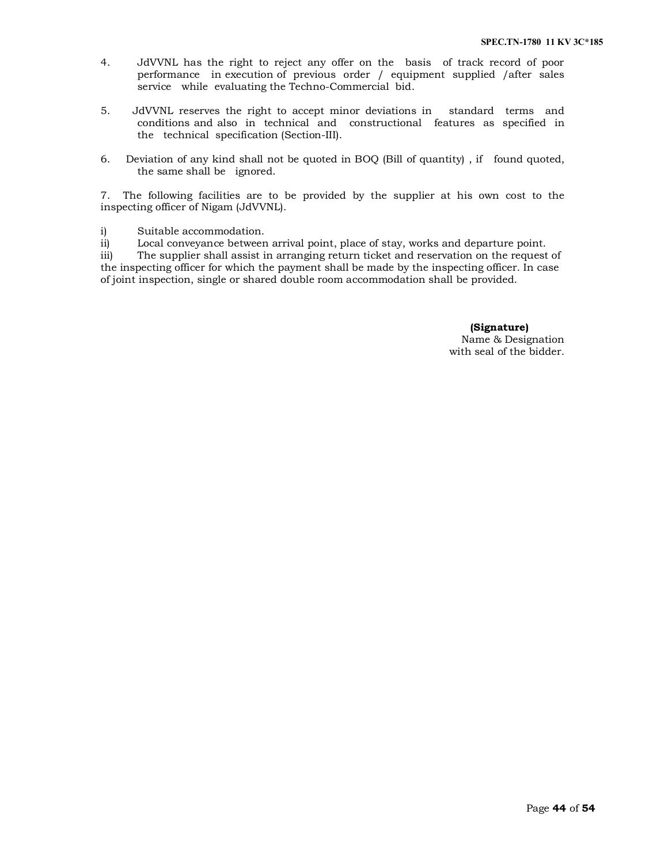- 4. JdVVNL has the right to reject any offer on the basis of track record of poor performance in execution of previous order / equipment supplied /after sales service while evaluating the Techno-Commercial bid.
- 5. JdVVNL reserves the right to accept minor deviations in standard terms and conditions and also in technical and constructional features as specified in the technical specification (Section-III).
- 6. Deviation of any kind shall not be quoted in BOQ (Bill of quantity) , if found quoted, the same shall be ignored.

7. The following facilities are to be provided by the supplier at his own cost to the inspecting officer of Nigam (JdVVNL).

i) Suitable accommodation.

ii) Local conveyance between arrival point, place of stay, works and departure point.

iii) The supplier shall assist in arranging return ticket and reservation on the request of the inspecting officer for which the payment shall be made by the inspecting officer. In case of joint inspection, single or shared double room accommodation shall be provided.

> **(Signature)** Name & Designation with seal of the bidder.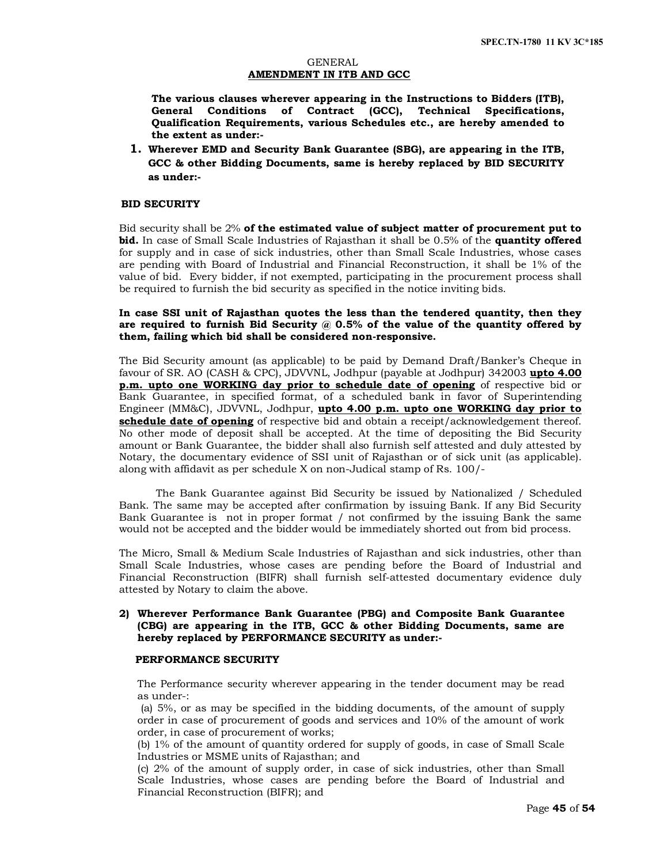### GENERAL **AMENDMENT IN ITB AND GCC**

**The various clauses wherever appearing in the Instructions to Bidders (ITB), General Conditions of Contract (GCC), Technical Specifications, Qualification Requirements, various Schedules etc., are hereby amended to the extent as under:-**

**1. Wherever EMD and Security Bank Guarantee (SBG), are appearing in the ITB, GCC & other Bidding Documents, same is hereby replaced by BID SECURITY as under:-**

## **BID SECURITY**

Bid security shall be 2% **of the estimated value of subject matter of procurement put to bid.** In case of Small Scale Industries of Rajasthan it shall be 0.5% of the **quantity offered** for supply and in case of sick industries, other than Small Scale Industries, whose cases are pending with Board of Industrial and Financial Reconstruction, it shall be 1% of the value of bid. Every bidder, if not exempted, participating in the procurement process shall be required to furnish the bid security as specified in the notice inviting bids.

## **In case SSI unit of Rajasthan quotes the less than the tendered quantity, then they are required to furnish Bid Security @ 0.5% of the value of the quantity offered by them, failing which bid shall be considered non-responsive.**

The Bid Security amount (as applicable) to be paid by Demand Draft/Banker's Cheque in favour of SR. AO (CASH & CPC), JDVVNL, Jodhpur (payable at Jodhpur) 342003 **upto 4.00 p.m. upto one WORKING day prior to schedule date of opening** of respective bid or Bank Guarantee, in specified format, of a scheduled bank in favor of Superintending Engineer (MM&C), JDVVNL, Jodhpur, **upto 4.00 p.m. upto one WORKING day prior to schedule date of opening** of respective bid and obtain a receipt/acknowledgement thereof. No other mode of deposit shall be accepted. At the time of depositing the Bid Security amount or Bank Guarantee, the bidder shall also furnish self attested and duly attested by Notary, the documentary evidence of SSI unit of Rajasthan or of sick unit (as applicable). along with affidavit as per schedule X on non-Judical stamp of Rs. 100/-

The Bank Guarantee against Bid Security be issued by Nationalized / Scheduled Bank. The same may be accepted after confirmation by issuing Bank. If any Bid Security Bank Guarantee is not in proper format / not confirmed by the issuing Bank the same would not be accepted and the bidder would be immediately shorted out from bid process.

The Micro, Small & Medium Scale Industries of Rajasthan and sick industries, other than Small Scale Industries, whose cases are pending before the Board of Industrial and Financial Reconstruction (BIFR) shall furnish self-attested documentary evidence duly attested by Notary to claim the above.

# **2) Wherever Performance Bank Guarantee (PBG) and Composite Bank Guarantee (CBG) are appearing in the ITB, GCC & other Bidding Documents, same are hereby replaced by PERFORMANCE SECURITY as under:-**

## **PERFORMANCE SECURITY**

The Performance security wherever appearing in the tender document may be read as under-:

(a) 5%, or as may be specified in the bidding documents, of the amount of supply order in case of procurement of goods and services and 10% of the amount of work order, in case of procurement of works;

(b) 1% of the amount of quantity ordered for supply of goods, in case of Small Scale Industries or MSME units of Rajasthan; and

(c) 2% of the amount of supply order, in case of sick industries, other than Small Scale Industries, whose cases are pending before the Board of Industrial and Financial Reconstruction (BIFR); and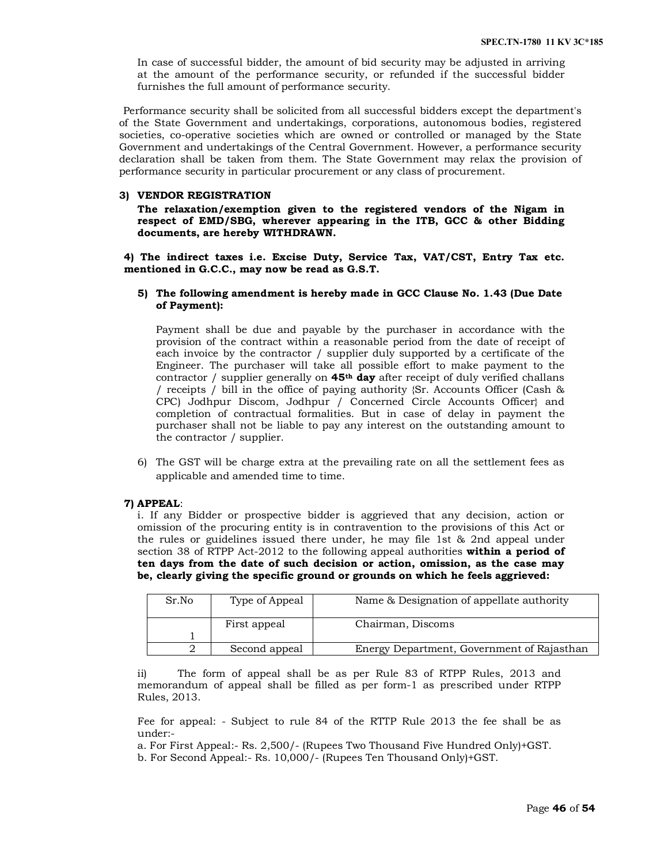In case of successful bidder, the amount of bid security may be adjusted in arriving at the amount of the performance security, or refunded if the successful bidder furnishes the full amount of performance security.

 Performance security shall be solicited from all successful bidders except the department's of the State Government and undertakings, corporations, autonomous bodies, registered societies, co-operative societies which are owned or controlled or managed by the State Government and undertakings of the Central Government. However, a performance security declaration shall be taken from them. The State Government may relax the provision of performance security in particular procurement or any class of procurement.

#### **3) VENDOR REGISTRATION**

**The relaxation/exemption given to the registered vendors of the Nigam in respect of EMD/SBG, wherever appearing in the ITB, GCC & other Bidding documents, are hereby WITHDRAWN.** 

**4) The indirect taxes i.e. Excise Duty, Service Tax, VAT/CST, Entry Tax etc. mentioned in G.C.C., may now be read as G.S.T.** 

## **5) The following amendment is hereby made in GCC Clause No. 1.43 (Due Date of Payment):**

Payment shall be due and payable by the purchaser in accordance with the provision of the contract within a reasonable period from the date of receipt of each invoice by the contractor / supplier duly supported by a certificate of the Engineer. The purchaser will take all possible effort to make payment to the contractor / supplier generally on **45th day** after receipt of duly verified challans / receipts / bill in the office of paying authority {Sr. Accounts Officer (Cash & CPC) Jodhpur Discom, Jodhpur / Concerned Circle Accounts Officer} and completion of contractual formalities. But in case of delay in payment the purchaser shall not be liable to pay any interest on the outstanding amount to the contractor / supplier.

6) The GST will be charge extra at the prevailing rate on all the settlement fees as applicable and amended time to time.

#### **7) APPEAL**:

i. If any Bidder or prospective bidder is aggrieved that any decision, action or omission of the procuring entity is in contravention to the provisions of this Act or the rules or guidelines issued there under, he may file 1st & 2nd appeal under section 38 of RTPP Act-2012 to the following appeal authorities **within a period of ten days from the date of such decision or action, omission, as the case may be, clearly giving the specific ground or grounds on which he feels aggrieved:** 

| Sr.No | Type of Appeal | Name & Designation of appellate authority  |  |
|-------|----------------|--------------------------------------------|--|
|       | First appeal   | Chairman, Discoms                          |  |
|       |                |                                            |  |
|       | Second appeal  | Energy Department, Government of Rajasthan |  |

ii) The form of appeal shall be as per Rule 83 of RTPP Rules, 2013 and memorandum of appeal shall be filled as per form-1 as prescribed under RTPP Rules, 2013.

Fee for appeal: - Subject to rule 84 of the RTTP Rule 2013 the fee shall be as under:-

a. For First Appeal:- Rs. 2,500/- (Rupees Two Thousand Five Hundred Only)+GST. b. For Second Appeal:- Rs. 10,000/- (Rupees Ten Thousand Only)+GST.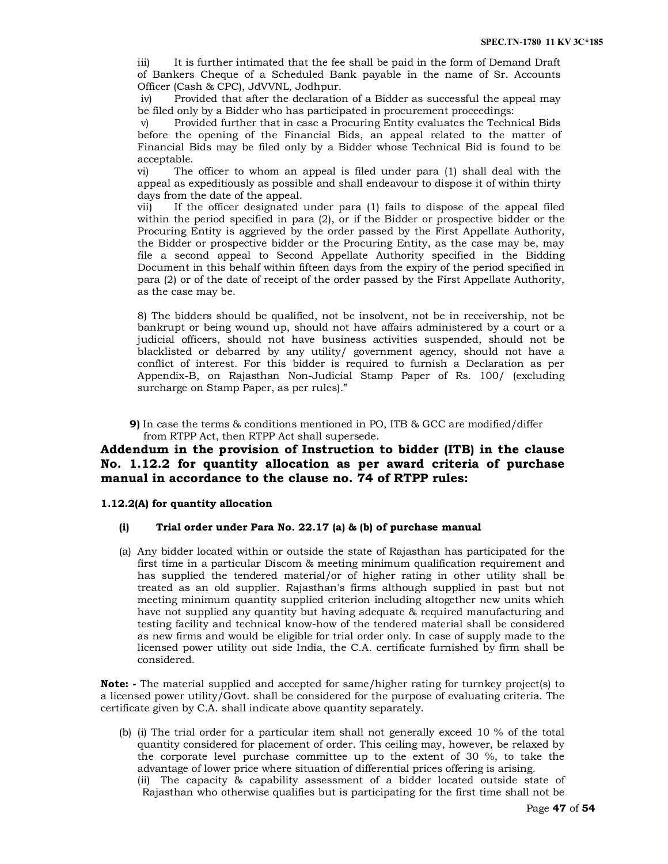iii) It is further intimated that the fee shall be paid in the form of Demand Draft of Bankers Cheque of a Scheduled Bank payable in the name of Sr. Accounts Officer (Cash & CPC), JdVVNL, Jodhpur.

iv) Provided that after the declaration of a Bidder as successful the appeal may be filed only by a Bidder who has participated in procurement proceedings:

v) Provided further that in case a Procuring Entity evaluates the Technical Bids before the opening of the Financial Bids, an appeal related to the matter of Financial Bids may be filed only by a Bidder whose Technical Bid is found to be acceptable.

vi) The officer to whom an appeal is filed under para (1) shall deal with the appeal as expeditiously as possible and shall endeavour to dispose it of within thirty days from the date of the appeal.

vii) If the officer designated under para (1) fails to dispose of the appeal filed within the period specified in para (2), or if the Bidder or prospective bidder or the Procuring Entity is aggrieved by the order passed by the First Appellate Authority, the Bidder or prospective bidder or the Procuring Entity, as the case may be, may file a second appeal to Second Appellate Authority specified in the Bidding Document in this behalf within fifteen days from the expiry of the period specified in para (2) or of the date of receipt of the order passed by the First Appellate Authority, as the case may be.

8) The bidders should be qualified, not be insolvent, not be in receivership, not be bankrupt or being wound up, should not have affairs administered by a court or a judicial officers, should not have business activities suspended, should not be blacklisted or debarred by any utility/ government agency, should not have a conflict of interest. For this bidder is required to furnish a Declaration as per Appendix-B, on Rajasthan Non-Judicial Stamp Paper of Rs. 100/ (excluding surcharge on Stamp Paper, as per rules)."

**9)** In case the terms & conditions mentioned in PO, ITB & GCC are modified/differ from RTPP Act, then RTPP Act shall supersede.

# **Addendum in the provision of Instruction to bidder (ITB) in the clause No. 1.12.2 for quantity allocation as per award criteria of purchase manual in accordance to the clause no. 74 of RTPP rules:**

#### **1.12.2(A) for quantity allocation**

# **(i) Trial order under Para No. 22.17 (a) & (b) of purchase manual**

(a) Any bidder located within or outside the state of Rajasthan has participated for the first time in a particular Discom & meeting minimum qualification requirement and has supplied the tendered material/or of higher rating in other utility shall be treated as an old supplier. Rajasthan's firms although supplied in past but not meeting minimum quantity supplied criterion including altogether new units which have not supplied any quantity but having adequate & required manufacturing and testing facility and technical know-how of the tendered material shall be considered as new firms and would be eligible for trial order only. In case of supply made to the licensed power utility out side India, the C.A. certificate furnished by firm shall be considered.

**Note: -** The material supplied and accepted for same/higher rating for turnkey project(s) to a licensed power utility/Govt. shall be considered for the purpose of evaluating criteria. The certificate given by C.A. shall indicate above quantity separately.

(b) (i) The trial order for a particular item shall not generally exceed 10 % of the total quantity considered for placement of order. This ceiling may, however, be relaxed by the corporate level purchase committee up to the extent of 30 %, to take the advantage of lower price where situation of differential prices offering is arising. (ii) The capacity & capability assessment of a bidder located outside state of Rajasthan who otherwise qualifies but is participating for the first time shall not be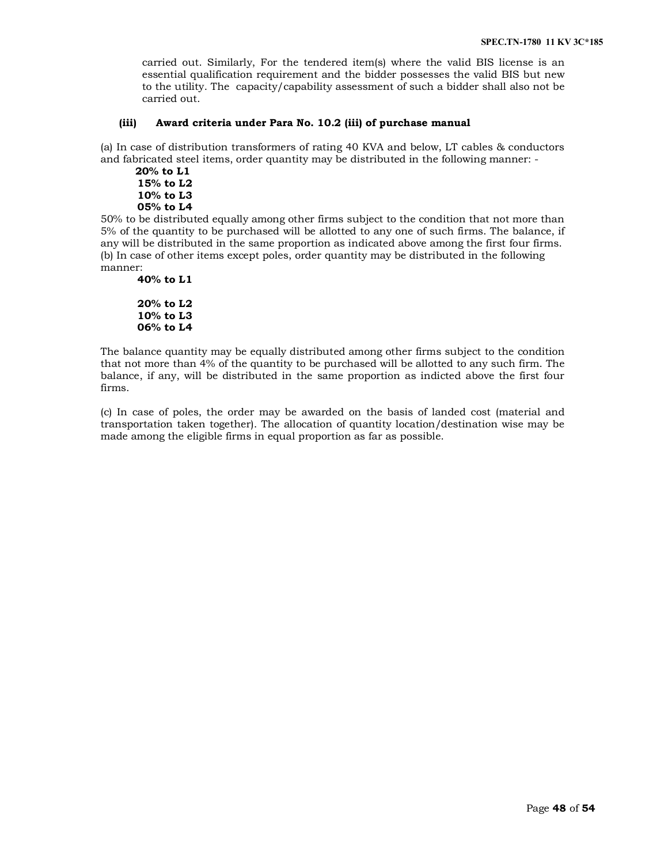carried out. Similarly, For the tendered item(s) where the valid BIS license is an essential qualification requirement and the bidder possesses the valid BIS but new to the utility. The capacity/capability assessment of such a bidder shall also not be carried out.

## **(iii) Award criteria under Para No. 10.2 (iii) of purchase manual**

(a) In case of distribution transformers of rating 40 KVA and below, LT cables & conductors and fabricated steel items, order quantity may be distributed in the following manner: -

```
 20% to L1
15% to L2
10% to L3
05% to L4
```
50% to be distributed equally among other firms subject to the condition that not more than 5% of the quantity to be purchased will be allotted to any one of such firms. The balance, if any will be distributed in the same proportion as indicated above among the first four firms. (b) In case of other items except poles, order quantity may be distributed in the following manner:

```
40% to L1
```

```
20% to L2
10% to L3
06% to L4
```
The balance quantity may be equally distributed among other firms subject to the condition that not more than 4% of the quantity to be purchased will be allotted to any such firm. The balance, if any, will be distributed in the same proportion as indicted above the first four firms.

(c) In case of poles, the order may be awarded on the basis of landed cost (material and transportation taken together). The allocation of quantity location/destination wise may be made among the eligible firms in equal proportion as far as possible.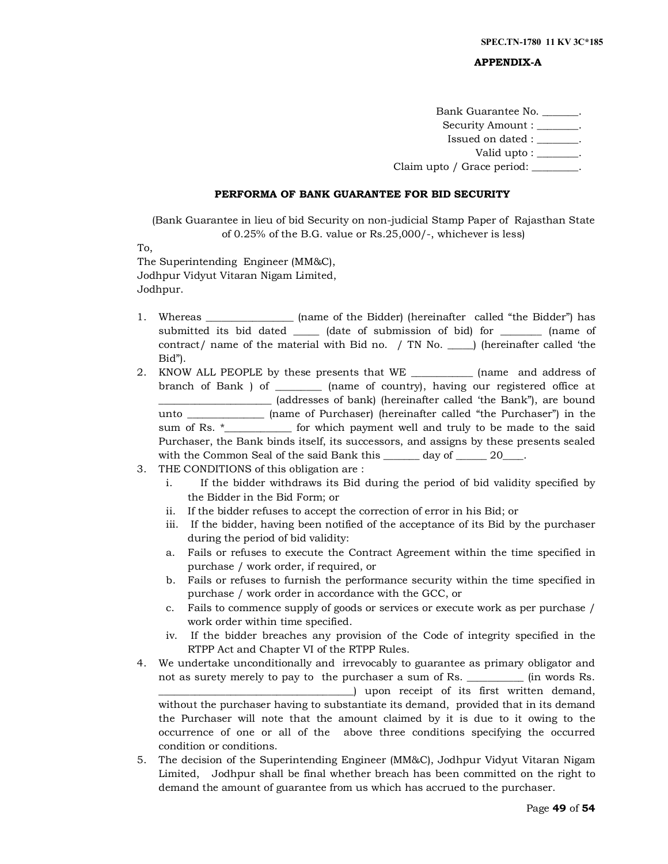#### **APPENDIX-A**

Bank Guarantee No. \_\_\_\_\_\_\_. Security Amount : \_\_\_\_\_\_\_. Issued on dated : \_\_\_\_\_\_\_\_. Valid upto : The set of the set of the set of the set of the set of the set of the set of the set of the set o

Claim upto / Grace period:

#### **PERFORMA OF BANK GUARANTEE FOR BID SECURITY**

(Bank Guarantee in lieu of bid Security on non-judicial Stamp Paper of Rajasthan State of 0.25% of the B.G. value or Rs.25,000/-, whichever is less)

To,

The Superintending Engineer (MM&C), Jodhpur Vidyut Vitaran Nigam Limited, Jodhpur.

- 1. Whereas \_\_\_\_\_\_\_\_\_\_\_\_\_\_\_\_\_ (name of the Bidder) (hereinafter called "the Bidder") has submitted its bid dated \_\_\_\_\_ (date of submission of bid) for \_\_\_\_\_\_\_\_ (name of contract/ name of the material with Bid no. / TN No. \_\_\_\_\_) (hereinafter called 'the Bid").
- 2. KNOW ALL PEOPLE by these presents that WE \_\_\_\_\_\_\_\_\_\_\_\_ (name and address of branch of Bank ) of \_\_\_\_\_\_\_\_\_ (name of country), having our registered office at \_\_\_\_\_\_\_\_\_\_\_\_\_\_\_\_\_\_\_\_\_\_ (addresses of bank) (hereinafter called 'the Bank"), are bound unto \_\_\_\_\_\_\_\_\_\_\_\_\_\_\_ (name of Purchaser) (hereinafter called "the Purchaser") in the sum of Rs. \* The said for which payment well and truly to be made to the said Purchaser, the Bank binds itself, its successors, and assigns by these presents sealed with the Common Seal of the said Bank this \_\_\_\_\_\_\_ day of \_\_\_\_\_\_ 20\_\_\_\_.
- 3. THE CONDITIONS of this obligation are :
	- i. If the bidder withdraws its Bid during the period of bid validity specified by the Bidder in the Bid Form; or
	- ii. If the bidder refuses to accept the correction of error in his Bid; or
	- iii. If the bidder, having been notified of the acceptance of its Bid by the purchaser during the period of bid validity:
	- a. Fails or refuses to execute the Contract Agreement within the time specified in purchase / work order, if required, or
	- b. Fails or refuses to furnish the performance security within the time specified in purchase / work order in accordance with the GCC, or
	- c. Fails to commence supply of goods or services or execute work as per purchase / work order within time specified.
	- iv. If the bidder breaches any provision of the Code of integrity specified in the RTPP Act and Chapter VI of the RTPP Rules.
- 4. We undertake unconditionally and irrevocably to guarantee as primary obligator and not as surety merely to pay to the purchaser a sum of Rs. \_\_\_\_\_\_\_\_\_\_\_ (in words Rs. \_\_\_\_\_\_\_\_\_\_\_\_\_\_\_\_\_\_\_\_\_\_\_\_\_\_\_\_\_\_\_\_\_\_\_\_\_\_) upon receipt of its first written demand, without the purchaser having to substantiate its demand, provided that in its demand the Purchaser will note that the amount claimed by it is due to it owing to the occurrence of one or all of the above three conditions specifying the occurred condition or conditions.
- 5. The decision of the Superintending Engineer (MM&C), Jodhpur Vidyut Vitaran Nigam Limited, Jodhpur shall be final whether breach has been committed on the right to demand the amount of guarantee from us which has accrued to the purchaser.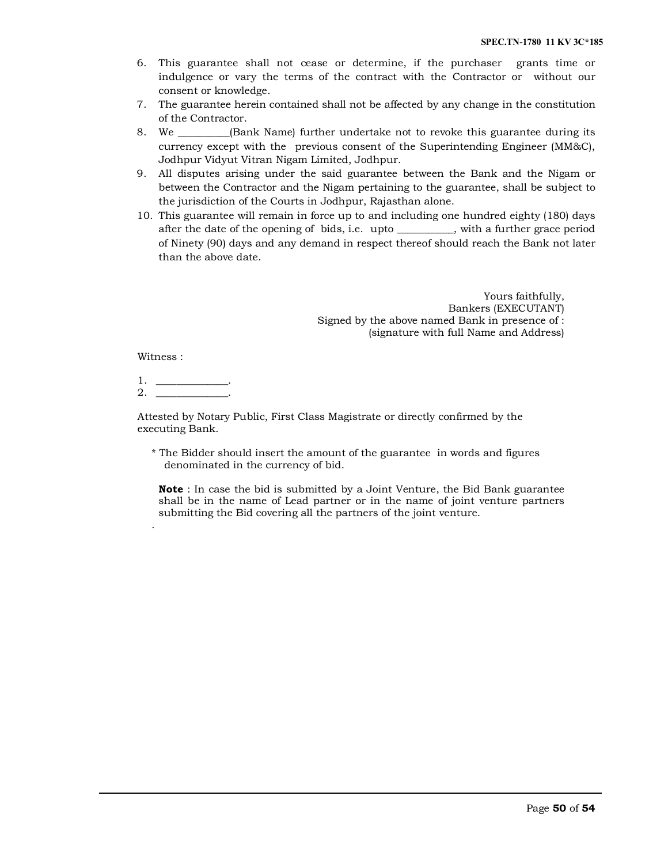- 6. This guarantee shall not cease or determine, if the purchaser grants time or indulgence or vary the terms of the contract with the Contractor or without our consent or knowledge.
- 7. The guarantee herein contained shall not be affected by any change in the constitution of the Contractor.
- 8. We \_\_\_\_\_\_\_\_\_\_(Bank Name) further undertake not to revoke this guarantee during its currency except with the previous consent of the Superintending Engineer (MM&C), Jodhpur Vidyut Vitran Nigam Limited, Jodhpur.
- 9. All disputes arising under the said guarantee between the Bank and the Nigam or between the Contractor and the Nigam pertaining to the guarantee, shall be subject to the jurisdiction of the Courts in Jodhpur, Rajasthan alone.
- 10. This guarantee will remain in force up to and including one hundred eighty (180) days after the date of the opening of bids, i.e. upto \_\_\_\_\_\_\_\_\_\_\_, with a further grace period of Ninety (90) days and any demand in respect thereof should reach the Bank not later than the above date.

Yours faithfully, Bankers (EXECUTANT) Signed by the above named Bank in presence of : (signature with full Name and Address)

Witness :

.

1. \_\_\_\_\_\_\_\_\_\_\_\_\_\_.  $2_{-}$ 

Attested by Notary Public, First Class Magistrate or directly confirmed by the executing Bank.

\* The Bidder should insert the amount of the guarantee in words and figures denominated in the currency of bid.

**Note** : In case the bid is submitted by a Joint Venture, the Bid Bank guarantee shall be in the name of Lead partner or in the name of joint venture partners submitting the Bid covering all the partners of the joint venture.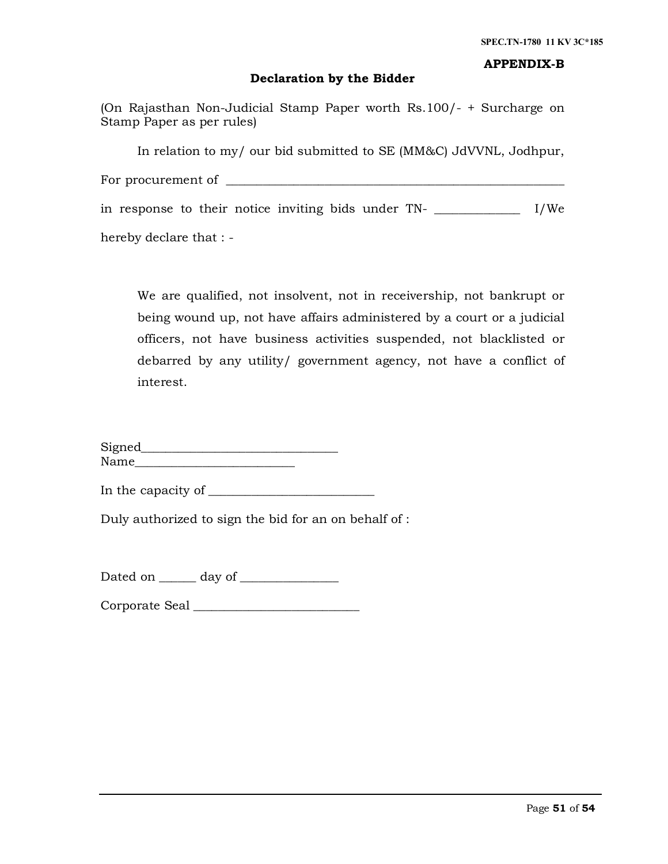# **APPENDIX-B**

# **Declaration by the Bidder**

(On Rajasthan Non-Judicial Stamp Paper worth Rs.100/- + Surcharge on Stamp Paper as per rules)

In relation to my/ our bid submitted to SE (MM&C) JdVVNL, Jodhpur,

For procurement of \_\_\_\_\_\_\_\_\_\_\_\_\_\_\_\_\_\_\_\_\_\_\_\_\_\_\_\_\_\_\_\_\_\_\_\_\_\_\_\_\_\_\_\_\_\_\_\_\_\_\_\_\_\_\_

in response to their notice inviting bids under TN- \_\_\_\_\_\_\_\_\_\_\_\_\_\_ I/We

hereby declare that : -

We are qualified, not insolvent, not in receivership, not bankrupt or being wound up, not have affairs administered by a court or a judicial officers, not have business activities suspended, not blacklisted or debarred by any utility/ government agency, not have a conflict of interest.

Signed\_\_\_\_\_\_\_\_\_\_\_\_\_\_\_\_\_\_\_\_\_\_\_\_\_\_\_\_\_\_\_\_  $Name$ 

In the capacity of \_\_\_\_\_\_\_\_\_\_\_\_\_\_\_\_\_\_\_\_\_\_\_\_\_\_\_

Duly authorized to sign the bid for an on behalf of :

Dated on \_\_\_\_\_\_ day of \_\_\_\_\_\_\_\_\_\_\_\_\_\_\_\_

Corporate Seal \_\_\_\_\_\_\_\_\_\_\_\_\_\_\_\_\_\_\_\_\_\_\_\_\_\_\_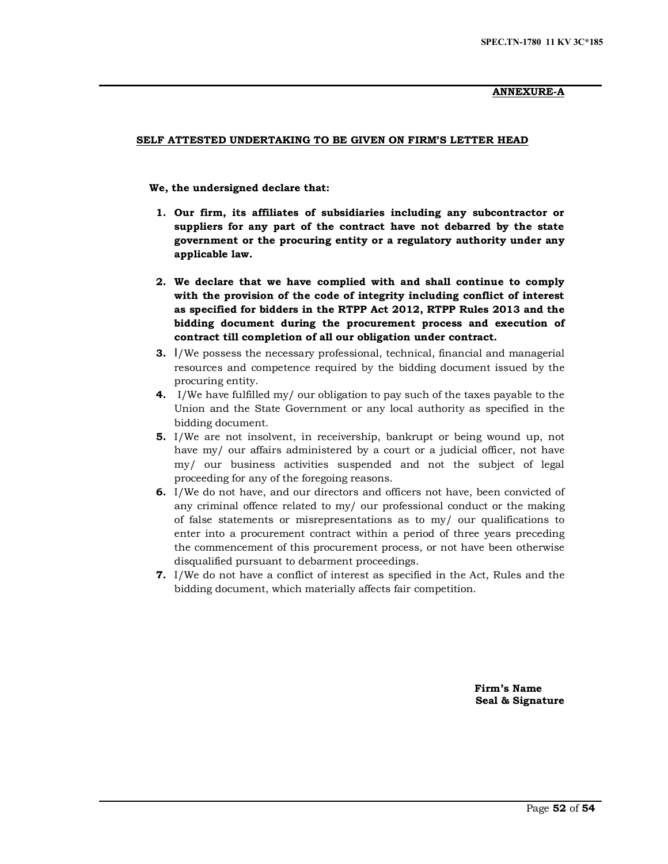# **ANNEXURE-A**

## **SELF ATTESTED UNDERTAKING TO BE GIVEN ON FIRM'S LETTER HEAD**

 **We, the undersigned declare that:**

- **1. Our firm, its affiliates of subsidiaries including any subcontractor or suppliers for any part of the contract have not debarred by the state government or the procuring entity or a regulatory authority under any applicable law.**
- **2. We declare that we have complied with and shall continue to comply with the provision of the code of integrity including conflict of interest as specified for bidders in the RTPP Act 2012, RTPP Rules 2013 and the bidding document during the procurement process and execution of contract till completion of all our obligation under contract.**
- **3.** I/We possess the necessary professional, technical, financial and managerial resources and competence required by the bidding document issued by the procuring entity.
- **4.** I/We have fulfilled my/ our obligation to pay such of the taxes payable to the Union and the State Government or any local authority as specified in the bidding document.
- **5.** I/We are not insolvent, in receivership, bankrupt or being wound up, not have my/ our affairs administered by a court or a judicial officer, not have my/ our business activities suspended and not the subject of legal proceeding for any of the foregoing reasons.
- **6.** I/We do not have, and our directors and officers not have, been convicted of any criminal offence related to my/ our professional conduct or the making of false statements or misrepresentations as to my/ our qualifications to enter into a procurement contract within a period of three years preceding the commencement of this procurement process, or not have been otherwise disqualified pursuant to debarment proceedings.
- **7.** I/We do not have a conflict of interest as specified in the Act, Rules and the bidding document, which materially affects fair competition.

 **Firm's Name Seal & Signature**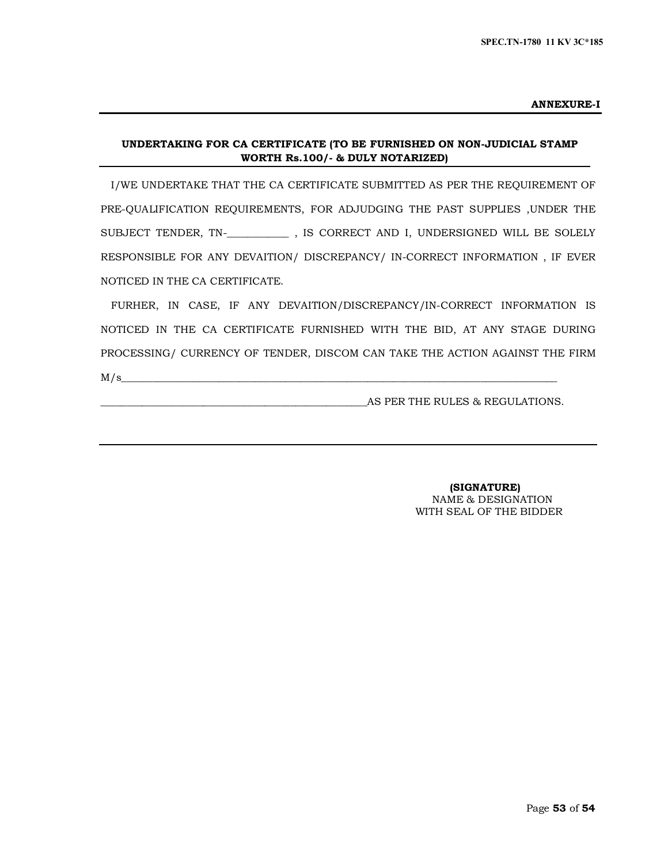#### **ANNEXURE-I**

# **UNDERTAKING FOR CA CERTIFICATE (TO BE FURNISHED ON NON-JUDICIAL STAMP WORTH Rs.100/- & DULY NOTARIZED)**

I/WE UNDERTAKE THAT THE CA CERTIFICATE SUBMITTED AS PER THE REQUIREMENT OF PRE-QUALIFICATION REQUIREMENTS, FOR ADJUDGING THE PAST SUPPLIES ,UNDER THE SUBJECT TENDER, TN-\_**\_\_\_\_\_\_\_\_\_\_\_** , IS CORRECT AND I, UNDERSIGNED WILL BE SOLELY RESPONSIBLE FOR ANY DEVAITION/ DISCREPANCY/ IN-CORRECT INFORMATION , IF EVER NOTICED IN THE CA CERTIFICATE.

FURHER, IN CASE, IF ANY DEVAITION/DISCREPANCY/IN-CORRECT INFORMATION IS NOTICED IN THE CA CERTIFICATE FURNISHED WITH THE BID, AT ANY STAGE DURING PROCESSING/ CURRENCY OF TENDER, DISCOM CAN TAKE THE ACTION AGAINST THE FIRM  $M/s$ 

AS PER THE RULES & REGULATIONS.

 **(SIGNATURE)** NAME & DESIGNATION WITH SEAL OF THE BIDDER